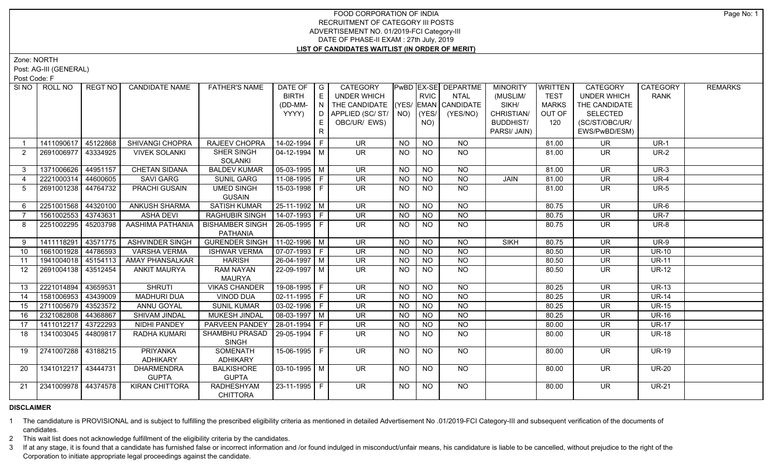Zone: NORTH

Post: AG-III (GENERAL)

Post Code: F

| SI <sub>NO</sub> | ROLL NO             | REGT NO  | <b>CANDIDATE NAME</b>              | <b>FATHER'S NAME</b>                      | DATE OF   G<br><b>BIRTH</b><br>(DD-MM-<br>YYYY) | E<br>$\mathsf{F} \mathsf{N}$ ). | <b>CATEGORY</b><br>UNDER WHICH<br>THE CANDIDATE (YES/ EMAN CANDIDATE<br>D   APPLIED (SC/ ST/   NO) |                | <b>RVIC</b><br>(YES/ | <b>PWBD EX-SE DEPARTME</b><br>NTAL<br>(YES/NO) | <b>MINORITY</b><br>(MUSLIM/<br>SIKH/<br>CHRISTIAN/ | <b>WRITTEN</b><br><b>TEST</b><br><b>MARKS</b><br>OUT OF | <b>CATEGORY</b><br><b>UNDER WHICH</b><br>THE CANDIDATE<br><b>SELECTED</b> | CATEGORY<br><b>RANK</b> | <b>REMARKS</b> |
|------------------|---------------------|----------|------------------------------------|-------------------------------------------|-------------------------------------------------|---------------------------------|----------------------------------------------------------------------------------------------------|----------------|----------------------|------------------------------------------------|----------------------------------------------------|---------------------------------------------------------|---------------------------------------------------------------------------|-------------------------|----------------|
|                  |                     |          |                                    |                                           |                                                 | E.<br>R.                        | OBC/UR/ EWS)                                                                                       |                | NO)                  |                                                | <b>BUDDHIST/</b><br>PARSI/ JAIN)                   | 120                                                     | (SC/ST/OBC/UR/<br>EWS/PwBD/ESM)                                           |                         |                |
|                  | 1411090617          | 45122868 | SHIVANGI CHOPRA                    | RAJEEV CHOPRA                             | 14-02-1994   F                                  |                                 | <b>UR</b>                                                                                          | <b>NO</b>      | <b>NO</b>            | <b>NO</b>                                      |                                                    | 81.00                                                   | <b>UR</b>                                                                 | $UR-1$                  |                |
| 2                | 2691006977          | 43334925 | <b>VIVEK SOLANKI</b>               | SHER SINGH<br><b>SOLANKI</b>              | 04-12-1994   M                                  |                                 | UR.                                                                                                | <b>NO</b>      | <b>NO</b>            | <b>NO</b>                                      |                                                    | 81.00                                                   | <b>UR</b>                                                                 | $UR-2$                  |                |
| $\mathbf{3}$     | 1371006626 44951157 |          | <b>CHETAN SIDANA</b>               | <b>BALDEV KUMAR</b>                       | 05-03-1995 M                                    |                                 | <b>UR</b>                                                                                          | <b>NO</b>      | <b>NO</b>            | <b>NO</b>                                      |                                                    | 81.00                                                   | <b>UR</b>                                                                 | $UR-3$                  |                |
| $\overline{4}$   | 2221000314          | 44600605 | <b>SAVI GARG</b>                   | <b>SUNIL GARG</b>                         | $11-08-1995$ F                                  |                                 | <b>UR</b>                                                                                          | <b>NO</b>      | <b>NO</b>            | <b>NO</b>                                      | <b>JAIN</b>                                        | 81.00                                                   | <b>UR</b>                                                                 | <b>UR-4</b>             |                |
| -5               | 2691001238 44764732 |          | PRACHI GUSAIN                      | <b>UMED SINGH</b><br><b>GUSAIN</b>        | 15-03-1998 F                                    |                                 | UR.                                                                                                | <b>NO</b>      | NO.                  | NO                                             |                                                    | 81.00                                                   | <b>UR</b>                                                                 | <b>UR-5</b>             |                |
| 6                | 2251001568 44320100 |          | <b>ANKUSH SHARMA</b>               | <b>SATISH KUMAR</b>                       | 25-11-1992 M                                    |                                 | $\overline{\mathsf{UR}}$                                                                           | <b>NO</b>      | $\overline{NO}$      | $\overline{NO}$                                |                                                    | 80.75                                                   | $\overline{\mathsf{UR}}$                                                  | $UR-6$                  |                |
|                  | 1561002553          | 43743631 | <b>ASHA DEVI</b>                   | <b>RAGHUBIR SINGH</b>                     | $ 14-07-1993 F$                                 |                                 | $\overline{\mathsf{UR}}$                                                                           | <b>NO</b>      | <b>NO</b>            | <b>NO</b>                                      |                                                    | 80.75                                                   | $\overline{\mathsf{UR}}$                                                  | <b>UR-7</b>             |                |
| 8                | 2251002295          | 45203798 | AASHIMA PATHANIA                   | <b>BISHAMBER SINGH</b><br><b>PATHANIA</b> | 26-05-1995 F                                    |                                 | UR.                                                                                                | NO             | NO                   | <b>NO</b>                                      |                                                    | 80.75                                                   | <b>UR</b>                                                                 | <b>UR-8</b>             |                |
| 9                | 1411118291 43571775 |          | <b>ASHVINDER SINGH</b>             | <b>GURENDER SINGH</b>                     | $11-02-1996$ M                                  |                                 | UR.                                                                                                | <b>NO</b>      | <b>NO</b>            | <b>NO</b>                                      | <b>SIKH</b>                                        | 80.75                                                   | <b>UR</b>                                                                 | <b>UR-9</b>             |                |
| 10               | 1661001928 44786593 |          | <b>VARSHA VERMA</b>                | <b>ISHWAR VERMA</b>                       | $\boxed{07-07-1993}$ F                          |                                 | <b>UR</b>                                                                                          | <b>NO</b>      | <b>NO</b>            | <b>NO</b>                                      |                                                    | 80.50                                                   | <b>UR</b>                                                                 | $UR-10$                 |                |
| 11               | 1941004018 45154113 |          | AMAY PHANSALKAR                    | <b>HARISH</b>                             | $26 - 04 - 1997$ M                              |                                 | UR                                                                                                 | <b>NO</b>      | <b>NO</b>            | $\overline{NO}$                                |                                                    | 80.50                                                   | $\overline{\mathsf{UR}}$                                                  | $UR-11$                 |                |
| 12 <sup>°</sup>  | 2691004138 43512454 |          | <b>ANKIT MAURYA</b>                | RAM NAYAN<br><b>MAURYA</b>                | 22-09-1997   M                                  |                                 | <b>UR</b>                                                                                          | <b>NO</b>      | <b>NO</b>            | <b>NO</b>                                      |                                                    | 80.50                                                   | <b>UR</b>                                                                 | <b>UR-12</b>            |                |
| 13               | 2221014894          | 43659531 | <b>SHRUTI</b>                      | <b>VIKAS CHANDER</b>                      | $19-08-1995$ F                                  |                                 | <b>UR</b>                                                                                          | NO.            | <b>NO</b>            | <b>NO</b>                                      |                                                    | 80.25                                                   | <b>UR</b>                                                                 | <b>UR-13</b>            |                |
| $\overline{14}$  | 1581006953          | 43439009 | <b>MADHURI DUA</b>                 | <b>VINOD DUA</b>                          | $\boxed{02-11-1995}$ F                          |                                 | $\overline{\mathsf{UR}}$                                                                           | N <sub>O</sub> | $N$ O                | $N$ O                                          |                                                    | 80.25                                                   | $\overline{\mathsf{UR}}$                                                  | <b>UR-14</b>            |                |
| 15               | 2711005679 43523572 |          | ANNU GOYAL                         | <b>SUNIL KUMAR</b>                        | $\boxed{03-02-1996}$ F                          |                                 | <b>UR</b>                                                                                          | <b>NO</b>      | <b>NO</b>            | N <sub>O</sub>                                 |                                                    | 80.25                                                   | <b>UR</b>                                                                 | <b>UR-15</b>            |                |
| 16               | 2321082808 44368867 |          | SHIVAM JINDAL                      | <b>MUKESH JINDAL</b>                      | $\sqrt{08-03-1997}$ M                           |                                 | $\overline{\mathsf{UR}}$                                                                           | <b>NO</b>      | $N$ O                | N <sub>O</sub>                                 |                                                    | 80.25                                                   | $\overline{\mathsf{UR}}$                                                  | <b>UR-16</b>            |                |
| 17               | 1411012217 43722293 |          | NIDHI PANDEY                       | PARVEEN PANDEY                            | 28-01-1994 F                                    |                                 | <b>UR</b>                                                                                          | <b>NO</b>      | <b>NO</b>            | <b>NO</b>                                      |                                                    | 80.00                                                   | <b>UR</b>                                                                 | <b>UR-17</b>            |                |
| 18               | 1341003045          | 44809817 | <b>RADHA KUMARI</b>                | SHAMBHU PRASAD<br><b>SINGH</b>            | 29-05-1994 F                                    |                                 | UR.                                                                                                | <b>NO</b>      | NO                   | NO                                             |                                                    | 80.00                                                   | UR.                                                                       | <b>UR-18</b>            |                |
| 19               | 2741007288 43188215 |          | <b>PRIYANKA</b><br><b>ADHIKARY</b> | <b>SOMENATH</b><br><b>ADHIKARY</b>        | $15-06-1995$ F                                  |                                 | $\overline{\mathsf{UR}}$                                                                           | NO.            | <b>NO</b>            | NO.                                            |                                                    | 80.00                                                   | $\overline{\mathsf{UR}}$                                                  | <b>UR-19</b>            |                |
| -20              | 1341012217 43444731 |          | <b>DHARMENDRA</b><br><b>GUPTA</b>  | <b>BALKISHORE</b><br><b>GUPTA</b>         | 03-10-1995 M                                    |                                 | UR.                                                                                                | NO.            | <b>NO</b>            | NO.                                            |                                                    | 80.00                                                   | UR.                                                                       | <b>UR-20</b>            |                |
| 21               | 2341009978 44374578 |          | <b>KIRAN CHITTORA</b>              | <b>RADHESHYAM</b><br><b>CHITTORA</b>      | 23-11-1995 F                                    |                                 | $\overline{\mathsf{UR}}$                                                                           | <b>NO</b>      | <b>NO</b>            | NO.                                            |                                                    | 80.00                                                   | UR.                                                                       | <b>UR-21</b>            |                |

# **DISCLAIMER**

1 The candidature is PROVISIONAL and is subject to fulfilling the prescribed eligibility criteria as mentioned in detailed Advertisement No .01/2019-FCI Category-III and subsequent verification of the documents of candidates.

2 This wait list does not acknowledge fulfillment of the eligibility criteria by the candidates.

3 If at any stage, it is found that a candidate has furnished false or incorrect information and /or found indulged in misconduct/unfair means, his candidature is liable to be cancelled, without prejudice to the right of t Corporation to initiate appropriate legal proceedings against the candidate.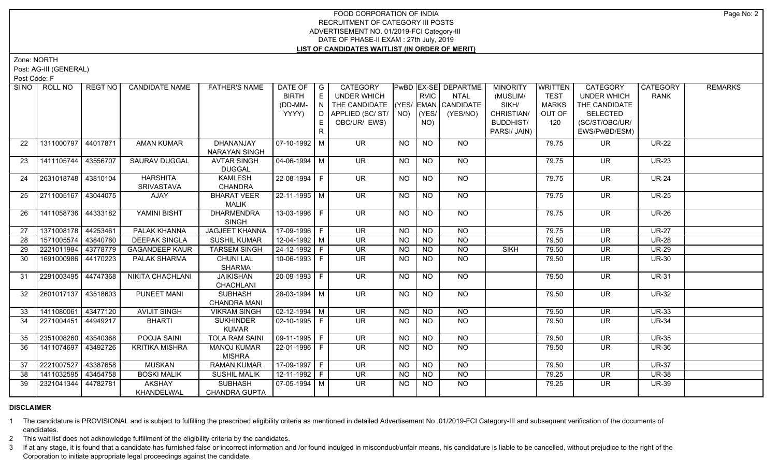Zone: NORTH

Post: AG-III (GENERAL)

Post Code: F

| SI <sub>NO</sub> | ROLL NO             | <b>REGT NO</b> | <b>CANDIDATE NAME</b>   | <b>FATHER'S NAME</b>  | DATE OF $ G $          |     | CATEGORY                           |           |             | PwBD EX-SE DEPARTME | <b>MINORITY</b>  | <b>WRITTEN</b> | CATEGORY                 | CATEGORY     | <b>REMARKS</b> |
|------------------|---------------------|----------------|-------------------------|-----------------------|------------------------|-----|------------------------------------|-----------|-------------|---------------------|------------------|----------------|--------------------------|--------------|----------------|
|                  |                     |                |                         |                       | <b>BIRTH</b>           | E   | UNDER WHICH                        |           | <b>RVIC</b> | <b>NTAL</b>         | (MUSLIM/         | <b>TEST</b>    | <b>UNDER WHICH</b>       | <b>RANK</b>  |                |
|                  |                     |                |                         |                       | (DD-MM-                | IN. | THE CANDIDATE (YES/ EMAN CANDIDATE |           |             |                     | SIKH/            | <b>MARKS</b>   | THE CANDIDATE            |              |                |
|                  |                     |                |                         |                       | YYYY)                  |     | D APPLIED (SC/ ST/ NO)             |           | (YES/       | (YES/NO)            | CHRISTIAN/       | OUT OF         | <b>SELECTED</b>          |              |                |
|                  |                     |                |                         |                       |                        |     | OBC/UR/ EWS)                       |           | NO)         |                     | <b>BUDDHIST/</b> | 120            | (SC/ST/OBC/UR/           |              |                |
|                  |                     |                |                         |                       |                        | R   |                                    |           |             |                     | PARSI/ JAIN)     |                | EWS/PwBD/ESM)            |              |                |
| 22               | 1311000797 44017871 |                | <b>AMAN KUMAR</b>       | DHANANJAY             | 07-10-1992 M           |     | <b>UR</b>                          | <b>NO</b> | <b>NO</b>   | <b>NO</b>           |                  | 79.75          | <b>UR</b>                | <b>UR-22</b> |                |
|                  |                     |                |                         | NARAYAN SINGH         |                        |     |                                    |           |             |                     |                  |                |                          |              |                |
| 23               | 1411105744 43556707 |                | <b>SAURAV DUGGAL</b>    | <b>AVTAR SINGH</b>    | 04-06-1994   M         |     | UR.                                | NO.       | <b>NO</b>   | NO.                 |                  | 79.75          | UR                       | <b>UR-23</b> |                |
|                  |                     |                |                         | <b>DUGGAL</b>         |                        |     |                                    |           |             |                     |                  |                |                          |              |                |
| 24               | 2631018748 43810104 |                | <b>HARSHITA</b>         | <b>KAMLESH</b>        | 22-08-1994 F           |     | $\overline{\mathsf{UR}}$           | <b>NO</b> | <b>NO</b>   | NO                  |                  | 79.75          | <b>UR</b>                | $UR-24$      |                |
|                  |                     |                | SRIVASTAVA              | <b>CHANDRA</b>        |                        |     |                                    |           |             |                     |                  |                |                          |              |                |
| 25               | 2711005167 43044075 |                | <b>AJAY</b>             | <b>BHARAT VEER</b>    | $22 - 11 - 1995$ M     |     | $\overline{\mathsf{UR}}$           | <b>NO</b> | <b>NO</b>   | $\overline{NO}$     |                  | 79.75          | $\overline{\mathsf{UR}}$ | $UR-25$      |                |
|                  |                     |                |                         | <b>MALIK</b>          |                        |     |                                    |           |             |                     |                  |                |                          |              |                |
| 26               | 1411058736 44333182 |                | YAMINI BISHT            | <b>DHARMENDRA</b>     | $13-03-1996$ F         |     | $\overline{\mathsf{UR}}$           | <b>NO</b> | <b>NO</b>   | <b>NO</b>           |                  | 79.75          | $\overline{\mathsf{UR}}$ | <b>UR-26</b> |                |
|                  |                     |                |                         | <b>SINGH</b>          |                        |     |                                    |           |             |                     |                  |                |                          |              |                |
| 27               | 1371008178 44253461 |                | PALAK KHANNA            | <b>JAGJEET KHANNA</b> | $17-09-1996$ F         |     | <b>UR</b>                          | <b>NO</b> | <b>NO</b>   | <b>NO</b>           |                  | 79.75          | <b>UR</b>                | <b>UR-27</b> |                |
| 28               | 1571005574          | 43840780       | <b>DEEPAK SINGLA</b>    | <b>SUSHIL KUMAR</b>   | $12 - 04 - 1992$ M     |     | $\overline{\mathsf{UR}}$           | <b>NO</b> | <b>NO</b>   | <b>NO</b>           |                  | 79.50          | <b>UR</b>                | <b>UR-28</b> |                |
| 29               | 2221011984          | 43778779       | <b>GAGANDEEP KAUR</b>   | <b>TARSEM SINGH</b>   | 24-12-1992 F           |     | UR                                 | <b>NO</b> | NO          | N <sub>O</sub>      | <b>SIKH</b>      | 79.50          | <b>UR</b>                | <b>UR-29</b> |                |
| 30               | 1691000986 44170223 |                | PALAK SHARMA            | <b>CHUNI LAL</b>      | 10-06-1993 F           |     | UR.                                | NO.       | NO.         | <b>NO</b>           |                  | 79.50          | <b>UR</b>                | <b>UR-30</b> |                |
|                  |                     |                |                         | <b>SHARMA</b>         |                        |     |                                    |           |             |                     |                  |                |                          |              |                |
| 31               | 2291003495 44747368 |                | <b>NIKITA CHACHLANI</b> | <b>JAIKISHAN</b>      | $20-09-1993$ F         |     | <b>UR</b>                          | <b>NO</b> | <b>NO</b>   | <b>NO</b>           |                  | 79.50          | <b>UR</b>                | <b>UR-31</b> |                |
|                  |                     |                |                         | CHACHLANI             |                        |     |                                    |           |             |                     |                  |                |                          |              |                |
| 32               | 2601017137 43518603 |                | PUNEET MANI             | <b>SUBHASH</b>        | 28-03-1994 M           |     | UR.                                | NO        | <b>NO</b>   | NO                  |                  | 79.50          | <b>UR</b>                | <b>UR-32</b> |                |
|                  |                     |                |                         | <b>CHANDRA MANI</b>   |                        |     |                                    |           |             |                     |                  |                |                          |              |                |
| 33               | 1411080061 43477120 |                | <b>AVIJIT SINGH</b>     | <b>VIKRAM SINGH</b>   | $\sqrt{02-12-1994}$ M  |     | $\overline{\mathsf{UR}}$           | <b>NO</b> | <b>NO</b>   | N <sub>O</sub>      |                  | 79.50          | <b>UR</b>                | <b>UR-33</b> |                |
| 34               | 2271004451 44949217 |                | <b>BHARTI</b>           | <b>SUKHINDER</b>      | 02-10-1995 F           |     | $\overline{\mathsf{UR}}$           | NO.       | NO.         | $\overline{NO}$     |                  | 79.50          | <b>UR</b>                | <b>UR-34</b> |                |
|                  |                     |                |                         | <b>KUMAR</b>          |                        |     |                                    |           |             |                     |                  |                |                          |              |                |
| 35               | 2351008260 43540368 |                | POOJA SAINI             | <b>TOLA RAM SAINI</b> | $\boxed{09-11-1995}$ F |     | $\overline{\mathsf{UR}}$           | <b>NO</b> | $N$ O       | $N$ <sup>O</sup>    |                  | 79.50          | $\overline{\mathsf{UR}}$ | <b>UR-35</b> |                |
| 36               | 1411074697          | 43492726       | <b>KRITIKA MISHRA</b>   | <b>MANOJ KUMAR</b>    | $22 - 01 - 1996$ F     |     | $\overline{\mathsf{UR}}$           | <b>NO</b> | <b>NO</b>   | <b>NO</b>           |                  | 79.50          | $\overline{\mathsf{UR}}$ | <b>UR-36</b> |                |
|                  |                     |                |                         | <b>MISHRA</b>         |                        |     |                                    |           |             |                     |                  |                |                          |              |                |
| 37               | 2221007527 43387658 |                | <b>MUSKAN</b>           | <b>RAMAN KUMAR</b>    | 17-09-1997 F           |     | UR.                                | <b>NO</b> | <b>NO</b>   | <b>NO</b>           |                  | 79.50          | <b>UR</b>                | <b>UR-37</b> |                |
| 38               | 1411032595          | 43454758       | <b>BOSKI MALIK</b>      | <b>SUSHIL MALIK</b>   | $12 - 11 - 1992$ F     |     | UR                                 | <b>NO</b> | <b>NO</b>   | $N$ O               |                  | 79.25          | <b>UR</b>                | <b>UR-38</b> |                |
| 39               | 2321041344          | 44782781       | AKSHAY                  | <b>SUBHASH</b>        | 07-05-1994   M         |     | UR.                                | NO.       | NO.         | NO                  |                  | 79.25          | <b>UR</b>                | <b>UR-39</b> |                |
|                  |                     |                | <b>KHANDELWAL</b>       | <b>CHANDRA GUPTA</b>  |                        |     |                                    |           |             |                     |                  |                |                          |              |                |

# **DISCLAIMER**

1 The candidature is PROVISIONAL and is subject to fulfilling the prescribed eligibility criteria as mentioned in detailed Advertisement No .01/2019-FCI Category-III and subsequent verification of the documents of candidates.

2 This wait list does not acknowledge fulfillment of the eligibility criteria by the candidates.

3 If at any stage, it is found that a candidate has furnished false or incorrect information and /or found indulged in misconduct/unfair means, his candidature is liable to be cancelled, without prejudice to the right of t Corporation to initiate appropriate legal proceedings against the candidate.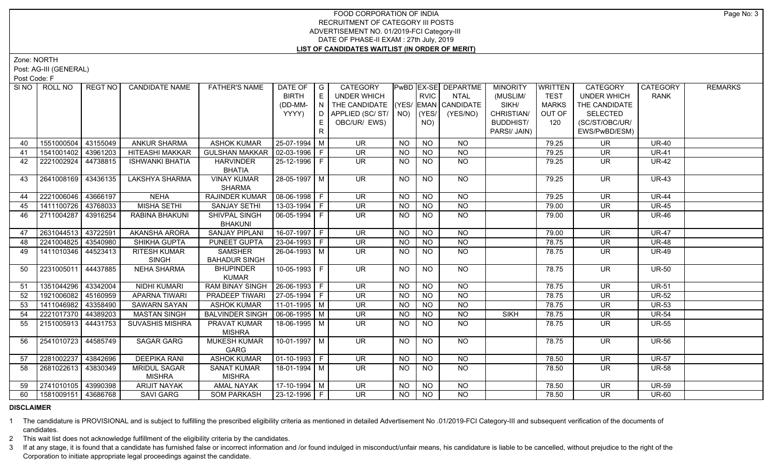Zone: NORTH

Post: AG-III (GENERAL)

Post Code: F

| SINO | ROLL NO               | REGT NO  | <b>CANDIDATE NAME</b>  | <b>FATHER'S NAME</b>             | DATE OF                 | $\overline{\phantom{a}}$ G | CATEGORY                           |           |                 | PwBD EX-SE DEPARTME | <b>MINORITY</b>  | <b>WRITTEN</b> | <b>CATEGORY</b>    | <b>CATEGORY</b> | <b>REMARKS</b> |
|------|-----------------------|----------|------------------------|----------------------------------|-------------------------|----------------------------|------------------------------------|-----------|-----------------|---------------------|------------------|----------------|--------------------|-----------------|----------------|
|      |                       |          |                        |                                  | <b>BIRTH</b>            | E                          | UNDER WHICH                        |           | <b>RVIC</b>     | <b>NTAL</b>         | (MUSLIM/         | <b>TEST</b>    | <b>UNDER WHICH</b> | <b>RANK</b>     |                |
|      |                       |          |                        |                                  | (DD-MM-                 | N                          | THE CANDIDATE (YES/ EMAN CANDIDATE |           |                 |                     | SIKH/            | <b>MARKS</b>   | THE CANDIDATE      |                 |                |
|      |                       |          |                        |                                  | YYYY)                   | D                          | APPLIED (SC/ ST/   NO)             |           | (YES/           | (YES/NO)            | CHRISTIAN/       | OUT OF         | <b>SELECTED</b>    |                 |                |
|      |                       |          |                        |                                  |                         |                            | OBC/UR/ EWS)                       |           | NO)             |                     | <b>BUDDHIST/</b> | 120            | (SC/ST/OBC/UR/     |                 |                |
|      |                       |          |                        |                                  |                         | R                          |                                    |           |                 |                     | PARSI/ JAIN)     |                | EWS/PwBD/ESM)      |                 |                |
| 40   | 1551000504            | 43155049 | ANKUR SHARMA           | <b>ASHOK KUMAR</b>               | 25-07-1994 M            |                            | <b>UR</b>                          | <b>NO</b> | <b>NO</b>       | <b>NO</b>           |                  | 79.25          | <b>UR</b>          | <b>UR-40</b>    |                |
| 41   | 1541001402 43961203   |          | <b>HITEASHI MAKKAR</b> | <b>GULSHAN MAKKAR</b>            | $\sqrt{02-03-1996}$   F |                            | <b>UR</b>                          | <b>NO</b> | <b>NO</b>       | <b>NO</b>           |                  | 79.25          | UR                 | <b>UR-41</b>    |                |
| 42   | 2221002924 44738815   |          | <b>ISHWANKI BHATIA</b> | <b>HARVINDER</b>                 | 25-12-1996 F            |                            | UR                                 | <b>NO</b> | <b>NO</b>       | <b>NO</b>           |                  | 79.25          | UR                 | <b>UR-42</b>    |                |
|      |                       |          |                        | <b>BHATIA</b>                    |                         |                            |                                    |           |                 |                     |                  |                |                    |                 |                |
| 43   | 2641008169 43436135   |          | <b>LAKSHYA SHARMA</b>  | <b>VINAY KUMAR</b>               | 28-05-1997   M          |                            | <b>UR</b>                          | <b>NO</b> | <b>NO</b>       | NO                  |                  | 79.25          | <b>UR</b>          | <b>UR-43</b>    |                |
|      |                       |          |                        | <b>SHARMA</b>                    |                         |                            |                                    |           |                 |                     |                  |                |                    |                 |                |
| 44   | 2221006046 43666197   |          | <b>NEHA</b>            | <b>RAJINDER KUMAR</b>            | $ 08-06-1998 F$         |                            | <b>UR</b>                          | <b>NO</b> | <b>NO</b>       | <b>NO</b>           |                  | 79.25          | <b>UR</b>          | <b>UR-44</b>    |                |
| 45   | 1411100726 43768033   |          | <b>MISHA SETHI</b>     | <b>SANJAY SETHI</b>              | $13-03-1994$ F          |                            | UR                                 | <b>NO</b> | <b>NO</b>       | <b>NO</b>           |                  | 79.00          | UR                 | <b>UR-45</b>    |                |
| 46   | 2711004287   43916254 |          | RABINA BHAKUNI         | SHIVPAL SINGH                    | 06-05-1994   F          |                            | UR.                                | <b>NO</b> | <b>NO</b>       | <b>NO</b>           |                  | 79.00          | UR                 | <b>UR-46</b>    |                |
|      |                       |          |                        | <b>BHAKUNI</b>                   |                         |                            |                                    |           |                 |                     |                  |                |                    |                 |                |
| 47   | 2631044513 43722591   |          | AKANSHA ARORA          | <b>SANJAY PIPLANI</b>            | 16-07-1997 F            |                            | <b>UR</b>                          | <b>NO</b> | <b>NO</b>       | <b>NO</b>           |                  | 79.00          | <b>UR</b>          | <b>UR-47</b>    |                |
| 48   | 2241004825 43540980   |          | SHIKHA GUPTA           | <b>PUNEET GUPTA</b>              | $ 23 - 04 - 1993 $ F    |                            | <b>UR</b>                          | <b>NO</b> | N <sub>O</sub>  | $\overline{NO}$     |                  | 78.75          | <b>UR</b>          | $UR-48$         |                |
| 49   | 1411010346 44523413   |          | RITESH KUMAR           | <b>SAMSHER</b>                   | 26-04-1993 M            |                            | UR.                                | NO.       | <b>NO</b>       | NO                  |                  | 78.75          | UR.                | <b>UR-49</b>    |                |
|      |                       |          | <b>SINGH</b>           | <b>BAHADUR SINGH</b>             |                         |                            |                                    |           |                 |                     |                  |                |                    |                 |                |
| 50   | 2231005011 44437885   |          | <b>NEHA SHARMA</b>     | <b>BHUPINDER</b>                 | $10-05-1993$ F          |                            | UR.                                | <b>NO</b> | $N$ O           | $N$ <sup>O</sup>    |                  | 78.75          | <b>UR</b>          | <b>UR-50</b>    |                |
|      |                       |          |                        | <b>KUMAR</b>                     |                         |                            |                                    |           |                 |                     |                  |                |                    |                 |                |
| 51   | 1351044296 43342004   |          | <b>NIDHI KUMARI</b>    | RAM BINAY SINGH   26-06-1993   F |                         |                            | UR                                 | <b>NO</b> | $N$ O           | $N$ O               |                  | 78.75          | <b>UR</b>          | <b>UR-51</b>    |                |
| 52   | 1921006082 45160959   |          | APARNA TIWARI          | <b>PRADEEP TIWARI</b>            | $ 27-05-1994 F$         |                            | UR                                 | NO.       | <b>NO</b>       | <b>NO</b>           |                  | 78.75          | UR                 | <b>UR-52</b>    |                |
| 53   | 1411046982 43358490   |          | SAWARN SAYAN           | <b>ASHOK KUMAR</b>               | $11-01-1995$ M          |                            | <b>UR</b>                          | <b>NO</b> | <b>NO</b>       | $N$ O               |                  | 78.75          | <b>UR</b>          | <b>UR-53</b>    |                |
| 54   | 2221017370 44389203   |          | <b>MASTAN SINGH</b>    | <b>BALVINDER SINGH</b>           | $ 06-06-1995 M$         |                            | UR                                 | <b>NO</b> | <b>NO</b>       | <b>NO</b>           | <b>SIKH</b>      | 78.75          | UR                 | <b>UR-54</b>    |                |
| 55   | 2151005913 44431753   |          | <b>SUVASHIS MISHRA</b> | PRAVAT KUMAR                     | 18-06-1995 M            |                            | UR.                                | <b>NO</b> | <b>NO</b>       | <b>NO</b>           |                  | 78.75          | UR                 | <b>UR-55</b>    |                |
|      |                       |          |                        | <b>MISHRA</b>                    |                         |                            |                                    |           |                 |                     |                  |                |                    |                 |                |
| 56   | 2541010723 44585749   |          | <b>SAGAR GARG</b>      | <b>MUKESH KUMAR</b>              | 10-01-1997   M          |                            | UR.                                | <b>NO</b> | <b>NO</b>       | NO                  |                  | 78.75          | <b>UR</b>          | <b>UR-56</b>    |                |
|      |                       |          |                        | GARG                             |                         |                            |                                    |           |                 |                     |                  |                |                    |                 |                |
| 57   | 2281002237            | 43842696 | <b>DEEPIKA RANI</b>    | <b>ASHOK KUMAR</b>               | 01-10-1993   F          |                            | UR.                                | <b>NO</b> | <b>NO</b>       | NO.                 |                  | 78.50          | UR                 | <b>UR-57</b>    |                |
| 58   | 2681022613 43830349   |          | <b>MRIDUL SAGAR</b>    | <b>SANAT KUMAR</b>               | $18-01-1994$ M          |                            | UR.                                | NO.       | <b>NO</b>       | NO                  |                  | 78.50          | UR.                | <b>UR-58</b>    |                |
|      |                       |          | <b>MISHRA</b>          | <b>MISHRA</b>                    |                         |                            |                                    |           |                 |                     |                  |                |                    |                 |                |
| 59   | 2741010105 43990398   |          | <b>ARIJIT NAYAK</b>    | <b>AMAL NAYAK</b>                | $17-10-1994$ M          |                            | <b>UR</b>                          | <b>NO</b> | <b>NO</b>       | <b>NO</b>           |                  | 78.50          | <b>UR</b>          | <b>UR-59</b>    |                |
| 60   | 1581009151 43686768   |          | <b>SAVI GARG</b>       | <b>SOM PARKASH</b>               | $\sqrt{23-12-1996}$ F   |                            | <b>UR</b>                          | <b>NO</b> | $\overline{NO}$ | $\overline{NO}$     |                  | 78.50          | <b>UR</b>          | $UR-60$         |                |

#### **DISCLAIMER**

1 The candidature is PROVISIONAL and is subject to fulfilling the prescribed eligibility criteria as mentioned in detailed Advertisement No .01/2019-FCI Category-III and subsequent verification of the documents of candidates.

2 This wait list does not acknowledge fulfillment of the eligibility criteria by the candidates.

3 If at any stage, it is found that a candidate has furnished false or incorrect information and /or found indulged in misconduct/unfair means, his candidature is liable to be cancelled, without prejudice to the right of t Corporation to initiate appropriate legal proceedings against the candidate.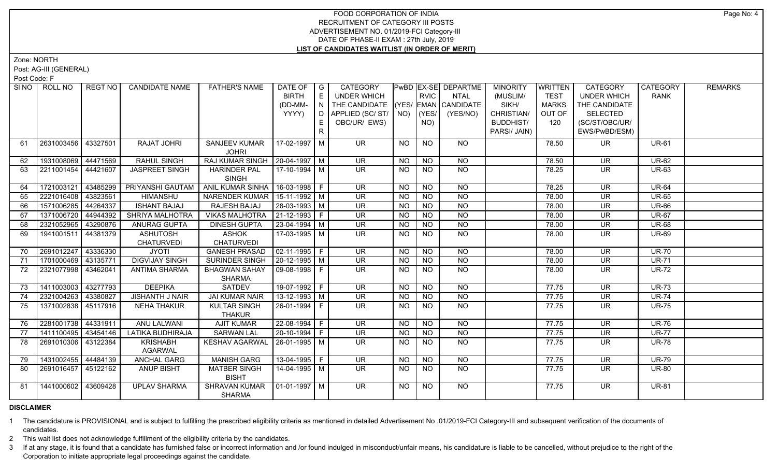Zone: NORTH

Post: AG-III (GENERAL)

Post Code: F

| SI NO I | ROLL NO             | REGT NO  | <b>CANDIDATE NAME</b>   | <b>FATHER'S NAME</b>            | DATE OF              | $\overline{\phantom{a}}$ G | CATEGORY                           |           |                | PwBD EX-SE DEPARTME | <b>MINORITY</b>  | <b>WRITTEN</b> | CATEGORY                 | CATEGORY     | <b>REMARKS</b> |
|---------|---------------------|----------|-------------------------|---------------------------------|----------------------|----------------------------|------------------------------------|-----------|----------------|---------------------|------------------|----------------|--------------------------|--------------|----------------|
|         |                     |          |                         |                                 | <b>BIRTH</b>         | E                          | <b>UNDER WHICH</b>                 |           | RVIC           | <b>NTAL</b>         | (MUSLIM/         | <b>TEST</b>    | <b>UNDER WHICH</b>       | <b>RANK</b>  |                |
|         |                     |          |                         |                                 | (DD-MM-              | IN                         | THE CANDIDATE (YES/ EMAN CANDIDATE |           |                |                     | SIKH/            | <b>MARKS</b>   | THE CANDIDATE            |              |                |
|         |                     |          |                         |                                 | YYYY)                | D                          | APPLIED (SC/ ST/   NO)   (YES/     |           |                | (YES/NO)            | CHRISTIAN/       | OUT OF         | <b>SELECTED</b>          |              |                |
|         |                     |          |                         |                                 |                      | E.                         | OBC/UR/ EWS)                       |           | NO)            |                     | <b>BUDDHIST/</b> | 120            | (SC/ST/OBC/UR/           |              |                |
|         |                     |          |                         |                                 |                      | $\mathsf{R}$               |                                    |           |                |                     | PARSI/ JAIN)     |                | EWS/PwBD/ESM)            |              |                |
| 61      | 2631003456 43327501 |          | <b>RAJAT JOHRI</b>      | <b>SANJEEV KUMAR</b>            | 17-02-1997 M         |                            | <b>UR</b>                          | <b>NO</b> | <b>NO</b>      | <b>NO</b>           |                  | 78.50          | <b>UR</b>                | <b>UR-61</b> |                |
|         |                     |          |                         | <b>JOHRI</b>                    |                      |                            |                                    |           |                |                     |                  |                |                          |              |                |
| 62      | 1931008069          | 44471569 | <b>RAHUL SINGH</b>      | RAJ KUMAR SINGH                 | 20-04-1997 M         |                            | <b>UR</b>                          | NO.       | <b>NO</b>      | <b>NO</b>           |                  | 78.50          | <b>UR</b>                | <b>UR-62</b> |                |
| 63      | 2211001454          | 44421607 | JASPREET SINGH          | <b>HARINDER PAL</b>             | 17-10-1994 M         |                            | <b>UR</b>                          | NO        | <b>NO</b>      | $\overline{NQ}$     |                  | 78.25          | <b>UR</b>                | <b>UR-63</b> |                |
|         |                     |          |                         | <b>SINGH</b>                    |                      |                            |                                    |           |                |                     |                  |                |                          |              |                |
| 64      | 1721003121          | 43485299 | PRIYANSHI GAUTAM        | <b>ANIL KUMAR SINHA</b>         | 16-03-1998 F         |                            | $\overline{\mathsf{UR}}$           | <b>NO</b> | N <sub>O</sub> | <b>NO</b>           |                  | 78.25          | <b>UR</b>                | <b>UR-64</b> |                |
| 65      | 2221016408 43823561 |          | <b>HIMANSHU</b>         | NARENDER KUMAR   15-11-1992   M |                      |                            | <b>UR</b>                          | <b>NO</b> | <b>NO</b>      | $\overline{NO}$     |                  | 78.00          | <b>UR</b>                | <b>UR-65</b> |                |
| 66      | 1571006285 44264337 |          | <b>ISHANT BAJAJ</b>     | RAJESH BAJAJ                    | $28-03-1993$ M       |                            | <b>UR</b>                          | <b>NO</b> | N <sub>O</sub> | $\overline{NQ}$     |                  | 78.00          | <b>UR</b>                | <b>UR-66</b> |                |
| 67      | 1371006720          | 44944392 | SHRIYA MALHOTRA         | <b>VIKAS MALHOTRA</b>           | $ 21 - 12 - 1993 $ F |                            | <b>UR</b>                          | <b>NO</b> | <b>NO</b>      | $\overline{NQ}$     |                  | 78.00          | <b>UR</b>                | <b>UR-67</b> |                |
| 68      | 2321052965          | 43290876 | ANURAG GUPTA            | <b>DINESH GUPTA</b>             | $23 - 04 - 1994$ M   |                            | <b>UR</b>                          | <b>NO</b> | <b>NO</b>      | $\overline{NQ}$     |                  | 78.00          | <b>UR</b>                | <b>UR-68</b> |                |
| 69      | 1941001511          | 44381379 | <b>ASHUTOSH</b>         | <b>ASHOK</b>                    | 17-03-1995 M         |                            | $\overline{\mathsf{UR}}$           | <b>NO</b> | N <sub>O</sub> | N <sub>O</sub>      |                  | 78.00          | $\overline{\mathsf{UR}}$ | <b>UR-69</b> |                |
|         |                     |          | <b>CHATURVEDI</b>       | <b>CHATURVEDI</b>               |                      |                            |                                    |           |                |                     |                  |                |                          |              |                |
| 70      | 2691012247          | 43336330 | <b>JYOTI</b>            | <b>GANESH PRASAD</b>            | $02-11-1995$ F       |                            | $\overline{\mathsf{UR}}$           | <b>NO</b> | N <sub>O</sub> | N <sub>O</sub>      |                  | 78.00          | $\overline{\mathsf{UR}}$ | <b>UR-70</b> |                |
| 71      | 1701000469 43135771 |          | <b>DIGVIJAY SINGH</b>   | <b>SURINDER SINGH</b>           | $20-12-1995$ M       |                            | <b>UR</b>                          | <b>NO</b> | N <sub>O</sub> | N <sub>O</sub>      |                  | 78.00          | <b>UR</b>                | <b>UR-71</b> |                |
| 72      | 2321077998 43462041 |          | <b>ANTIMA SHARMA</b>    | <b>BHAGWAN SAHAY</b>            | 09-08-1998 F         |                            | <b>UR</b>                          | NO.       | <b>NO</b>      | N <sub>O</sub>      |                  | 78.00          | <b>UR</b>                | <b>UR-72</b> |                |
|         |                     |          |                         | <b>SHARMA</b>                   |                      |                            |                                    |           |                |                     |                  |                |                          |              |                |
| 73      | 1411003003          | 43277793 | <b>DEEPIKA</b>          | <b>SATDEV</b>                   | 19-07-1992 F         |                            | $\overline{\mathsf{UR}}$           | <b>NO</b> | <b>NO</b>      | $N$ O               |                  | 77.75          | <b>UR</b>                | <b>UR-73</b> |                |
| 74      | 2321004263          | 43380827 | <b>JISHANTH J NAIR</b>  | <b>JAI KUMAR NAIR</b>           | $13 - 12 - 1993$ M   |                            | <b>UR</b>                          | <b>NO</b> | <b>NO</b>      | $N$ O               |                  | 77.75          | <b>UR</b>                | <b>UR-74</b> |                |
| 75      | 1371002838 45117916 |          | NEHA THAKUR             | <b>KULTAR SINGH</b>             | 26-01-1994 F         |                            | UR.                                | <b>NO</b> | NO.            | <b>NO</b>           |                  | 77.75          | UR                       | <b>UR-75</b> |                |
|         |                     |          |                         | <b>THAKUR</b>                   |                      |                            |                                    |           |                |                     |                  |                |                          |              |                |
| 76      | 2281001738 44331911 |          | <b>ANU LALWANI</b>      | <b>AJIT KUMAR</b>               | 22-08-1994 F         |                            | $\overline{\mathsf{UR}}$           | <b>NO</b> | NO             | $N$ O               |                  | 77.75          | <b>UR</b>                | <b>UR-76</b> |                |
| 77      | 1411100495 43454146 |          | <b>LATIKA BUDHIRAJA</b> | <b>SARWAN LAL</b>               | 20-10-1994 F         |                            | $\overline{\mathsf{UR}}$           | <b>NO</b> | N <sub>O</sub> | NO                  |                  | 77.75          | $\overline{\mathsf{UR}}$ | <b>UR-77</b> |                |
| 78      | 2691010306          | 43122384 | <b>KRISHABH</b>         | KESHAV AGARWAL                  | 26-01-1995 M         |                            | $\overline{\mathsf{UR}}$           | <b>NO</b> | N <sub>O</sub> | N <sub>O</sub>      |                  | 77.75          | <b>UR</b>                | <b>UR-78</b> |                |
|         |                     |          | <b>AGARWAL</b>          |                                 |                      |                            |                                    |           |                |                     |                  |                |                          |              |                |
| 79      | 1431002455 44484139 |          | <b>ANCHAL GARG</b>      | <b>MANISH GARG</b>              | $13-04-1995$ F       |                            | <b>UR</b>                          | <b>NO</b> | <b>NO</b>      | <b>NO</b>           |                  | 77.75          | <b>UR</b>                | <b>UR-79</b> |                |
| 80      | 2691016457 45122162 |          | <b>ANUP BISHT</b>       | <b>MATBER SINGH</b>             | 14-04-1995   M       |                            | UR.                                | NO.       | <b>NO</b>      | <b>NO</b>           |                  | 77.75          | UR.                      | <b>UR-80</b> |                |
|         |                     |          |                         | <b>BISHT</b>                    |                      |                            |                                    |           |                |                     |                  |                |                          |              |                |
| 81      | 1441000602 43609428 |          | <b>UPLAV SHARMA</b>     | SHRAVAN KUMAR                   | $\vert$ 01-01-1997 M |                            | $\overline{\mathsf{UR}}$           | NO        | <b>NO</b>      | NO                  |                  | 77.75          | <b>UR</b>                | <b>UR-81</b> |                |
|         |                     |          |                         | <b>SHARMA</b>                   |                      |                            |                                    |           |                |                     |                  |                |                          |              |                |

# **DISCLAIMER**

1 The candidature is PROVISIONAL and is subject to fulfilling the prescribed eligibility criteria as mentioned in detailed Advertisement No .01/2019-FCI Category-III and subsequent verification of the documents of candidates.

2 This wait list does not acknowledge fulfillment of the eligibility criteria by the candidates.

3 If at any stage, it is found that a candidate has furnished false or incorrect information and /or found indulged in misconduct/unfair means, his candidature is liable to be cancelled, without prejudice to the right of t Corporation to initiate appropriate legal proceedings against the candidate.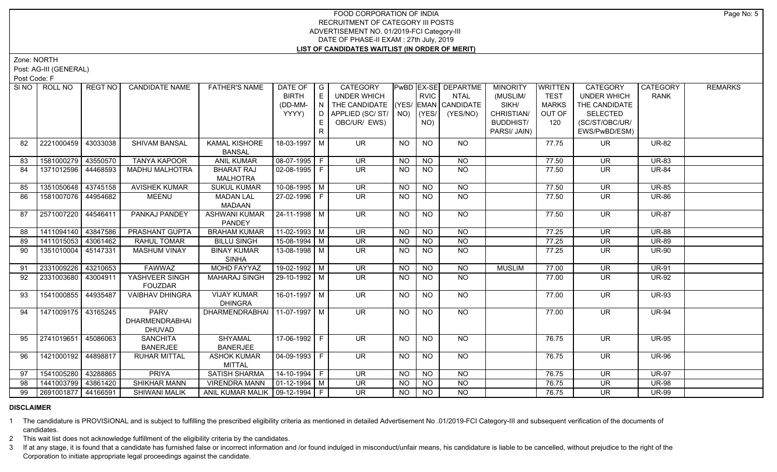Zone: NORTH

Post: AG-III (GENERAL)

Post Code: F

| SI NO I | ROLL NO               | REGT NO  | <b>CANDIDATE NAME</b>                                 | <b>FATHER'S NAME</b>                 | DATE OF<br><b>BIRTH</b> | $\overline{\phantom{a}}$ $\overline{\phantom{a}}$<br>E | <b>CATEGORY</b><br><b>UNDER WHICH</b> |             | <b>RVIC</b>     | <b>PwBD EX-SE DEPARTME</b><br><b>NTAL</b> | <b>MINORITY</b><br>(MUSLIM/ | WRITTEN<br><b>TEST</b> | <b>CATEGORY</b><br><b>UNDER WHICH</b> | CATEGORY<br><b>RANK</b> | <b>REMARKS</b> |
|---------|-----------------------|----------|-------------------------------------------------------|--------------------------------------|-------------------------|--------------------------------------------------------|---------------------------------------|-------------|-----------------|-------------------------------------------|-----------------------------|------------------------|---------------------------------------|-------------------------|----------------|
|         |                       |          |                                                       |                                      | (DD-MM-                 | $\mathsf{I} \mathsf{N} \mathsf{I}$                     | THE CANDIDATE (YES/ EMAN CANDIDATE    |             |                 |                                           | SIKH/                       | <b>MARKS</b>           | THE CANDIDATE                         |                         |                |
|         |                       |          |                                                       |                                      | YYYY)                   | D                                                      | APPLIED (SC/ST/                       | $NO)$ (YES/ |                 | (YES/NO)                                  | CHRISTIAN/                  | OUT OF                 | <b>SELECTED</b>                       |                         |                |
|         |                       |          |                                                       |                                      |                         | E.                                                     | OBC/UR/ EWS)                          |             | NO)             |                                           | <b>BUDDHIST/</b>            | 120                    | (SC/ST/OBC/UR/                        |                         |                |
|         |                       |          |                                                       |                                      |                         | $\mathsf{R}$                                           |                                       |             |                 |                                           | PARSI/ JAIN)                |                        | EWS/PwBD/ESM)                         |                         |                |
| 82      | 2221000459            | 43033038 | SHIVAM BANSAL                                         | <b>KAMAL KISHORE</b>                 | 18-03-1997   M          |                                                        | <b>UR</b>                             | <b>NO</b>   | <b>NO</b>       | <b>NO</b>                                 |                             | 77.75                  | <b>UR</b>                             | <b>UR-82</b>            |                |
|         |                       |          |                                                       | <b>BANSAL</b>                        |                         |                                                        |                                       |             |                 |                                           |                             |                        |                                       |                         |                |
| 83      | 1581000279            | 43550570 | <b>TANYA KAPOOR</b>                                   | <b>ANIL KUMAR</b>                    | 08-07-1995 F            |                                                        | <b>UR</b>                             | <b>NO</b>   | <b>NO</b>       | <b>NO</b>                                 |                             | 77.50                  | <b>UR</b>                             | <b>UR-83</b>            |                |
| 84      | 1371012596            | 44468593 | <b>MADHU MALHOTRA</b>                                 | <b>BHARAT RAJ</b><br><b>MALHOTRA</b> | $02-08-1995$   F        |                                                        | <b>UR</b>                             | NO.         | <b>NO</b>       | <b>NO</b>                                 |                             | 77.50                  | <b>UR</b>                             | <b>UR-84</b>            |                |
| 85      | 1351050648            | 43745158 | <b>AVISHEK KUMAR</b>                                  | <b>SUKUL KUMAR</b>                   | $10-08-1995$ M          |                                                        | $\overline{\mathsf{UR}}$              | <b>NO</b>   | N <sub>O</sub>  | $\overline{NQ}$                           |                             | 77.50                  | <b>UR</b>                             | <b>UR-85</b>            |                |
| 86      | 1581007076 44954682   |          | <b>MEENU</b>                                          | <b>MADAN LAL</b><br><b>MADAAN</b>    | 27-02-1996 F            |                                                        | <b>UR</b>                             | NO.         | <b>NO</b>       | $\overline{NQ}$                           |                             | 77.50                  | <b>UR</b>                             | <b>UR-86</b>            |                |
| 87      | 2571007220 44546411   |          | PANKAJ PANDEY                                         | <b>ASHWANI KUMAR</b>                 | 24-11-1998 M            |                                                        | <b>UR</b>                             | <b>NO</b>   | <b>NO</b>       | <b>NO</b>                                 |                             | 77.50                  | <b>UR</b>                             | <b>UR-87</b>            |                |
|         |                       |          |                                                       | <b>PANDEY</b>                        |                         |                                                        |                                       |             |                 |                                           |                             |                        |                                       |                         |                |
| 88      | 1411094140            | 43847586 | PRASHANT GUPTA                                        | <b>BRAHAM KUMAR</b>                  | $11-02-1993$ M          |                                                        | $\overline{\mathsf{UR}}$              | <b>NO</b>   | N <sub>O</sub>  | N <sub>O</sub>                            |                             | 77.25                  | <b>UR</b>                             | $\overline{UR-88}$      |                |
| 89      | 1411015053            | 43061462 | RAHUL TOMAR                                           | <b>BILLU SINGH</b>                   | 15-08-1994 M            |                                                        | <b>UR</b>                             | <b>NO</b>   | <b>NO</b>       | <b>NO</b>                                 |                             | 77.25                  | <b>UR</b>                             | <b>UR-89</b>            |                |
| 90      | 1351010004            | 45147331 | <b>MASHUM VINAY</b>                                   | <b>BINAY KUMAR</b><br><b>SINHA</b>   | 13-08-1998 M            |                                                        | UR.                                   | <b>NO</b>   | <b>NO</b>       | N <sub>O</sub>                            |                             | 77.25                  | <b>UR</b>                             | <b>UR-90</b>            |                |
| 91      | 2331009226            | 43210653 | <b>FAWWAZ</b>                                         | <b>MOHD FAYYAZ</b>                   | $19-02-1992$ M          |                                                        | <b>UR</b>                             | <b>NO</b>   | NO              | $N$ O                                     | <b>MUSLIM</b>               | 77.00                  | $\overline{\mathsf{UR}}$              | <b>UR-91</b>            |                |
| 92      | 2331003680            | 43004911 | YASHVEER SINGH<br><b>FOUZDAR</b>                      | <b>MAHARAJ SINGH</b>                 | 29-10-1992 M            |                                                        | UR.                                   | NO.         | <b>NO</b>       | <b>NO</b>                                 |                             | 77.00                  | <b>UR</b>                             | <b>UR-92</b>            |                |
| 93      | 1541000855 44935487   |          | <b>VAIBHAV DHINGRA</b>                                | <b>VIJAY KUMAR</b><br><b>DHINGRA</b> | 16-01-1997   M          |                                                        | UR.                                   | NO          | <b>NO</b>       | NO                                        |                             | 77.00                  | <b>UR</b>                             | <b>UR-93</b>            |                |
| 94      | 1471009175 43165245   |          | <b>PARV</b><br><b>DHARMENDRABHAI</b><br><b>DHUVAD</b> | DHARMENDRABHAI                       | 11-07-1997   M          |                                                        | $\overline{\mathsf{UR}}$              | NO          | <b>NO</b>       | $N$ <sup>O</sup>                          |                             | 77.00                  | <b>UR</b>                             | <b>UR-94</b>            |                |
| 95      | 2741019651            | 45086063 | <b>SANCHITA</b>                                       | <b>SHYAMAL</b>                       | 17-06-1992 F            |                                                        | <b>UR</b>                             | NO          | <b>NO</b>       | <b>NO</b>                                 |                             | 76.75                  | <b>UR</b>                             | <b>UR-95</b>            |                |
|         |                       |          | <b>BANERJEE</b>                                       | <b>BANERJEE</b>                      |                         |                                                        |                                       |             |                 |                                           |                             |                        |                                       |                         |                |
| 96      | 1421000192 44898817   |          | <b>RUHAR MITTAL</b>                                   | <b>ASHOK KUMAR</b>                   | $04-09-1993$   F        |                                                        | $\overline{\mathsf{UR}}$              | NO.         | $\overline{NQ}$ | $N$ <sup>O</sup>                          |                             | 76.75                  | <b>UR</b>                             | <b>UR-96</b>            |                |
|         |                       |          |                                                       | <b>MITTAL</b>                        |                         |                                                        |                                       |             |                 |                                           |                             |                        |                                       |                         |                |
| 97      | 1541005280            | 43288865 | <b>PRIYA</b>                                          | <b>SATISH SHARMA</b>                 | $14-10-1994$ F          |                                                        | $\overline{\mathsf{UR}}$              | NO          | N <sub>O</sub>  | N <sub>O</sub>                            |                             | 76.75                  | <b>UR</b>                             | <b>UR-97</b>            |                |
| 98      | 1441003799   43861420 |          | <b>SHIKHAR MANN</b>                                   | <b>VIRENDRA MANN</b>                 | $01 - 12 - 1994$ M      |                                                        | <b>UR</b>                             | <b>NO</b>   | <b>NO</b>       | N <sub>O</sub>                            |                             | 76.75                  | <b>UR</b>                             | <b>UR-98</b>            |                |
| 99      | 2691001877 44166591   |          | <b>SHIWANI MALIK</b>                                  | ANIL KUMAR MALIK   09-12-1994   F    |                         |                                                        | UR.                                   | NO          | <b>NO</b>       | <b>NO</b>                                 |                             | 76.75                  | <b>UR</b>                             | <b>UR-99</b>            |                |

# **DISCLAIMER**

1 The candidature is PROVISIONAL and is subject to fulfilling the prescribed eligibility criteria as mentioned in detailed Advertisement No .01/2019-FCI Category-III and subsequent verification of the documents of candidates.

2 This wait list does not acknowledge fulfillment of the eligibility criteria by the candidates.

3 If at any stage, it is found that a candidate has furnished false or incorrect information and /or found indulged in misconduct/unfair means, his candidature is liable to be cancelled, without prejudice to the right of t Corporation to initiate appropriate legal proceedings against the candidate.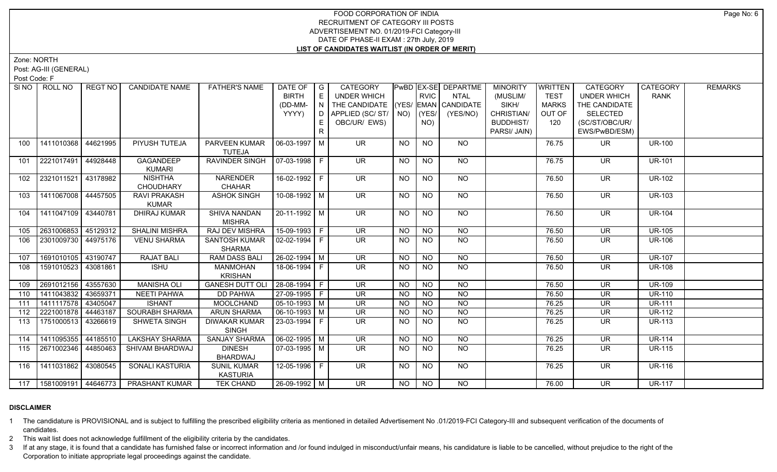Zone: NORTH

Post: AG-III (GENERAL)

Post Code: F

| SI NO | ROLL NO                     | REGT NO  | <b>CANDIDATE NAME</b>                        | <b>FATHER'S NAME</b>           | DATE OF<br><b>BIRTH</b> | $\overline{\phantom{a}}$ G<br>$\mathsf{E}$ | CATEGORY<br><b>UNDER WHICH</b>     |           | <b>RVIC</b>     | PwBD EX-SE DEPARTME<br><b>NTAL</b> | <b>MINORITY</b><br>(MUSLIM/ | <b>WRITTEN</b><br><b>TEST</b> | <b>CATEGORY</b><br><b>UNDER WHICH</b> | CATEGORY<br><b>RANK</b> | <b>REMARKS</b> |
|-------|-----------------------------|----------|----------------------------------------------|--------------------------------|-------------------------|--------------------------------------------|------------------------------------|-----------|-----------------|------------------------------------|-----------------------------|-------------------------------|---------------------------------------|-------------------------|----------------|
|       |                             |          |                                              |                                | (DD-MM-                 | N                                          | THE CANDIDATE (YES/ EMAN CANDIDATE |           |                 |                                    | SIKH/                       | <b>MARKS</b>                  | THE CANDIDATE                         |                         |                |
|       |                             |          |                                              |                                | YYYY)                   | D I                                        | APPLIED (SC/ST/                    |           | $NO)$ (YES/     | (YES/NO)                           | CHRISTIAN/                  | OUT OF                        | <b>SELECTED</b>                       |                         |                |
|       |                             |          |                                              |                                |                         | E                                          | OBC/UR/ EWS)                       |           | NO)             |                                    | <b>BUDDHIST/</b>            | 120                           | (SC/ST/OBC/UR/                        |                         |                |
|       |                             |          |                                              |                                |                         | $\mathsf{R}$                               |                                    |           |                 |                                    | PARSI/ JAIN)                |                               | EWS/PwBD/ESM)                         |                         |                |
| 100   | 1411010368                  | 44621995 | PIYUSH TUTEJA                                | PARVEEN KUMAR<br><b>TUTEJA</b> | 06-03-1997 M            |                                            | <b>UR</b>                          | <b>NO</b> | <b>NO</b>       | NO.                                |                             | 76.75                         | <b>UR</b>                             | <b>UR-100</b>           |                |
| 101   | 2221017491                  | 44928448 | <b>GAGANDEEP</b><br><b>KUMARI</b>            | RAVINDER SINGH                 | 07-03-1998 F            |                                            | <b>UR</b>                          | <b>NO</b> | <b>NO</b>       | <b>NO</b>                          |                             | 76.75                         | <b>UR</b>                             | <b>UR-101</b>           |                |
| 102   | 2321011521                  | 43178982 | <b>NISHTHA</b>                               | <b>NARENDER</b>                | 16-02-1992 F            |                                            | $\overline{\mathsf{UR}}$           | NO        | $\overline{NQ}$ | $N$ <sup>O</sup>                   |                             | 76.50                         | <b>UR</b>                             | <b>UR-102</b>           |                |
|       |                             |          | <b>CHOUDHARY</b>                             | <b>CHAHAR</b>                  |                         |                                            |                                    |           |                 |                                    |                             |                               |                                       |                         |                |
| 103   | 1411067008 44457505         |          | RAVI PRAKASH                                 | <b>ASHOK SINGH</b>             | $10-08-1992$ M          |                                            | $\overline{\mathsf{UR}}$           | <b>NO</b> | <b>NO</b>       | $N$ <sup>O</sup>                   |                             | 76.50                         | <b>UR</b>                             | <b>UR-103</b>           |                |
|       |                             |          | <b>KUMAR</b>                                 |                                |                         |                                            |                                    |           |                 |                                    |                             |                               |                                       |                         |                |
| 104   | 1411047109 43440781         |          | <b>DHIRAJ KUMAR</b>                          | <b>SHIVA NANDAN</b>            | $20-11-1992$ M          |                                            | $\overline{\mathsf{UR}}$           | <b>NO</b> | N <sub>O</sub>  | $N$ O                              |                             | 76.50                         | <b>UR</b>                             | <b>UR-104</b>           |                |
|       |                             |          |                                              | <b>MISHRA</b>                  |                         |                                            |                                    |           |                 |                                    |                             |                               |                                       |                         |                |
| 105   | 2631006853 45129312         |          | <b>SHALINI MISHRA</b>                        | RAJ DEV MISHRA                 | 15-09-1993 F            |                                            | <b>UR</b>                          | NO.       | <b>NO</b>       | <b>NO</b>                          |                             | 76.50                         | <b>UR</b>                             | <b>UR-105</b>           |                |
| 106   | 2301009730 44975176         |          | <b>VENU SHARMA</b>                           | <b>SANTOSH KUMAR</b>           | $02 - 02 - 1994$ F      |                                            | $\overline{\mathsf{UR}}$           | <b>NO</b> | N <sub>O</sub>  | $N$ O                              |                             | 76.50                         | <b>UR</b>                             | <b>UR-106</b>           |                |
|       |                             |          |                                              | <b>SHARMA</b>                  |                         |                                            |                                    |           |                 |                                    |                             |                               |                                       |                         |                |
| 107   | 1691010105 43190747         |          | <b>RAJAT BALI</b>                            | <b>RAM DASS BALI</b>           | $26 - 02 - 1994$ M      |                                            | <b>UR</b>                          | <b>NO</b> | <b>NO</b>       | $\overline{NQ}$                    |                             | 76.50                         | <b>UR</b>                             | <b>UR-107</b>           |                |
| 108   | 1591010523                  | 43081861 | <b>ISHU</b>                                  | <b>MANMOHAN</b>                | 18-06-1994   F          |                                            | UR.                                | NO.       | <b>NO</b>       | <b>NO</b>                          |                             | 76.50                         | <b>UR</b>                             | <b>UR-108</b>           |                |
|       |                             |          |                                              | <b>KRISHAN</b>                 |                         |                                            |                                    |           |                 |                                    |                             |                               |                                       |                         |                |
| 109   | 2691012156                  | 43557630 | <b>MANISHA OLI</b>                           | <b>GANESH DUTT OL</b>          | 28-08-1994 F            |                                            | <b>UR</b>                          | <b>NO</b> | N <sub>O</sub>  | $\overline{NQ}$                    |                             | 76.50                         | <b>UR</b>                             | <b>UR-109</b>           |                |
| 110   | 1411043832   43659371       |          | <b>NEETI PAHWA</b>                           | <b>DD PAHWA</b>                | 27-09-1995 F            |                                            | <b>UR</b>                          | <b>NO</b> | <b>NO</b>       | <b>NO</b>                          |                             | 76.50                         | UR                                    | <b>UR-110</b>           |                |
| 111   | 1411117578 43405047         |          | <b>ISHANT</b>                                | MOOLCHAND                      | $05-10-1993$ M          |                                            | <b>UR</b>                          | <b>NO</b> | <b>NO</b>       | $\overline{NQ}$                    |                             | 76.25                         | <b>UR</b>                             | <b>UR-111</b>           |                |
| 112   | 2221001878 44463187         |          | SOURABH SHARMA                               | <b>ARUN SHARMA</b>             | $06-10-1993$ M          |                                            | <b>UR</b>                          | <b>NO</b> | <b>NO</b>       | $\overline{NQ}$                    |                             | 76.25                         | <b>UR</b>                             | <b>UR-112</b>           |                |
| 113   | 1751000513 43266619         |          | <b>SHWETA SINGH</b>                          | <b>DIWAKAR KUMAR</b>           | 23-03-1994 F            |                                            | $\overline{\mathsf{UR}}$           | <b>NO</b> | $\overline{NO}$ | $\overline{NQ}$                    |                             | 76.25                         | <b>UR</b>                             | <b>UR-113</b>           |                |
|       |                             |          |                                              | <b>SINGH</b>                   |                         |                                            |                                    |           |                 |                                    |                             |                               |                                       |                         |                |
|       | 114   1411095355   44185510 |          | LAKSHAY SHARMA                               | <b>SANJAY SHARMA</b>           | $06 - 02 - 1995$ M      |                                            | $\overline{\mathsf{UR}}$           | <b>NO</b> | N <sub>O</sub>  | N <sub>O</sub>                     |                             | 76.25                         | <b>UR</b>                             | <b>UR-114</b>           |                |
| 115   | 2671002346   44850463       |          | SHIVAM BHARDWAJ                              | <b>DINESH</b>                  | $07-03-1995$ M          |                                            | UR.                                | NO.       | <b>NO</b>       | N <sub>O</sub>                     |                             | 76.25                         | <b>UR</b>                             | <b>UR-115</b>           |                |
|       |                             |          |                                              | BHARDWAJ                       |                         |                                            |                                    |           |                 |                                    |                             |                               |                                       |                         |                |
|       | 116 1411031862 43080545     |          | SONALI KASTURIA                              | <b>SUNIL KUMAR</b>             | 12-05-1996 F            |                                            | <b>UR</b>                          | NO.       | <b>NO</b>       | NO                                 |                             | 76.25                         | <b>UR</b>                             | <b>UR-116</b>           |                |
|       |                             |          |                                              | <b>KASTURIA</b>                |                         |                                            |                                    |           |                 |                                    |                             |                               |                                       |                         |                |
|       |                             |          | 117   1581009191   44646773   PRASHANT KUMAR | <b>TEK CHAND</b>               | 26-09-1992 M            |                                            | $\overline{\mathsf{UR}}$           | NO        | NO              | NO                                 |                             | 76.00                         | $\overline{\mathsf{UR}}$              | <b>UR-117</b>           |                |

# **DISCLAIMER**

1 The candidature is PROVISIONAL and is subject to fulfilling the prescribed eligibility criteria as mentioned in detailed Advertisement No .01/2019-FCI Category-III and subsequent verification of the documents of candidates.

2 This wait list does not acknowledge fulfillment of the eligibility criteria by the candidates.

3 If at any stage, it is found that a candidate has furnished false or incorrect information and /or found indulged in misconduct/unfair means, his candidature is liable to be cancelled, without prejudice to the right of t Corporation to initiate appropriate legal proceedings against the candidate.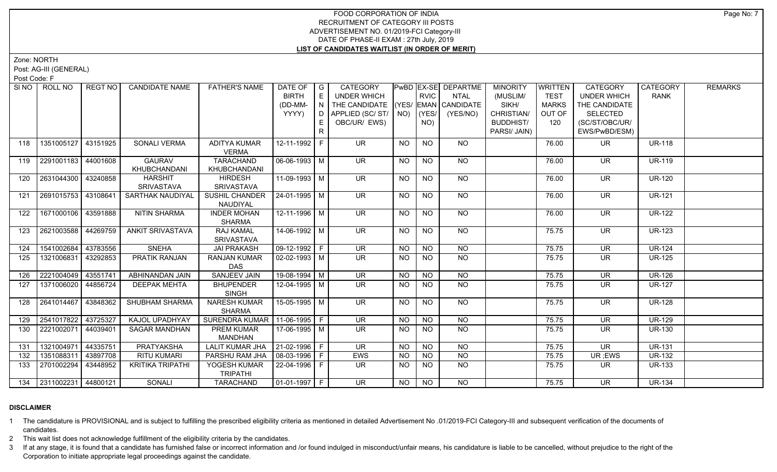Zone: NORTH

Post: AG-III (GENERAL)

Post Code: F

|     | SINO ROLL NO            | REGT NO  | <b>CANDIDATE NAME</b>         | <b>FATHER'S NAME</b>                  | DATE OF   G<br><b>BIRTH</b><br>(DD-MM-<br>YYYY) | E<br>N<br>D I<br>R | CATEGORY<br><b>UNDER WHICH</b><br>THE CANDIDATE (YES/ EMAN CANDIDATE<br>APPLIED (SC/ ST/   NO)<br>OBC/UR/ EWS) |           | <b>RVIC</b><br>YES/<br>NO) | <b>PwBD EX-SE DEPARTME</b><br>NTAL<br>(YES/NO) | <b>MINORITY</b><br>(MUSLIM/<br>SIKH/<br>CHRISTIAN/<br><b>BUDDHIST/</b><br>PARSI/ JAIN) | <b>WRITTEN</b><br><b>TEST</b><br><b>MARKS</b><br>OUT OF<br>120 | CATEGORY<br><b>UNDER WHICH</b><br>THE CANDIDATE<br><b>SELECTED</b><br>(SC/ST/OBC/UR/<br>EWS/PwBD/ESM) | <b>CATEGORY</b><br><b>RANK</b> | <b>REMARKS</b> |
|-----|-------------------------|----------|-------------------------------|---------------------------------------|-------------------------------------------------|--------------------|----------------------------------------------------------------------------------------------------------------|-----------|----------------------------|------------------------------------------------|----------------------------------------------------------------------------------------|----------------------------------------------------------------|-------------------------------------------------------------------------------------------------------|--------------------------------|----------------|
| 118 | 1351005127              | 43151925 | SONALI VERMA                  | <b>ADITYA KUMAR</b><br><b>VERMA</b>   | 12-11-1992 F                                    |                    | <b>UR</b>                                                                                                      | <b>NO</b> | NO.                        | NO.                                            |                                                                                        | 76.00                                                          | <b>UR</b>                                                                                             | <b>UR-118</b>                  |                |
| 119 | 2291001183 44001608     |          | <b>GAURAV</b><br>KHUBCHANDANI | <b>TARACHAND</b><br>KHUBCHANDANI      | 06-06-1993 M                                    |                    | <b>UR</b>                                                                                                      | <b>NO</b> | <b>NO</b>                  | NO                                             |                                                                                        | 76.00                                                          | <b>UR</b>                                                                                             | <b>UR-119</b>                  |                |
| 120 | 2631044300   43240858   |          | <b>HARSHIT</b><br>SRIVASTAVA  | <b>HIRDESH</b><br>SRIVASTAVA          | 11-09-1993 M                                    |                    | <b>UR</b>                                                                                                      | <b>NO</b> | <b>NO</b>                  | NO                                             |                                                                                        | 76.00                                                          | <b>UR</b>                                                                                             | <b>UR-120</b>                  |                |
| 121 | 2691015753 43108641     |          | <b>SARTHAK NAUDIYAL</b>       | <b>SUSHIL CHANDER</b><br>NAUDIYAL     | $ 24-01-1995 $ M                                |                    | $\overline{\mathsf{UR}}$                                                                                       | <b>NO</b> | <b>NO</b>                  | <b>NO</b>                                      |                                                                                        | 76.00                                                          | <b>UR</b>                                                                                             | $UR-121$                       |                |
| 122 | 1671000106 43591888     |          | <b>NITIN SHARMA</b>           | <b>INDER MOHAN</b><br><b>SHARMA</b>   | $12 - 11 - 1996$ M                              |                    | <b>UR</b>                                                                                                      | <b>NO</b> | <b>NO</b>                  | NO                                             |                                                                                        | 76.00                                                          | <b>UR</b>                                                                                             | <b>UR-122</b>                  |                |
| 123 | 2621003588              | 44269759 | <b>ANKIT SRIVASTAVA</b>       | <b>RAJ KAMAL</b><br><b>SRIVASTAVA</b> | 14-06-1992 M                                    |                    | <b>UR</b>                                                                                                      | NO.       | <b>NO</b>                  | <b>NO</b>                                      |                                                                                        | 75.75                                                          | <b>UR</b>                                                                                             | <b>UR-123</b>                  |                |
| 124 | 1541002684              | 43783556 | <b>SNEHA</b>                  | <b>JAI PRAKASH</b>                    | 09-12-1992 F                                    |                    | <b>UR</b>                                                                                                      | <b>NO</b> | <b>NO</b>                  | <b>NO</b>                                      |                                                                                        | 75.75                                                          | <b>UR</b>                                                                                             | <b>UR-124</b>                  |                |
| 125 | 1321006831              | 43292853 | <b>PRATIK RANJAN</b>          | <b>RANJAN KUMAR</b><br>DAS            | $02 - 02 - 1993$ M                              |                    | <b>UR</b>                                                                                                      | NO.       | <b>NO</b>                  | <b>NO</b>                                      |                                                                                        | 75.75                                                          | <b>UR</b>                                                                                             | <b>UR-125</b>                  |                |
| 126 | 2221004049              | 43551741 | ABHINANDAN JAIN               | <b>SANJEEV JAIN</b>                   | 19-08-1994   M                                  |                    | <b>UR</b>                                                                                                      | NO.       | <b>NO</b>                  | <b>NO</b>                                      |                                                                                        | 75.75                                                          | <b>UR</b>                                                                                             | <b>UR-126</b>                  |                |
| 127 | 1371006020              | 44856724 | <b>DEEPAK MEHTA</b>           | <b>BHUPENDER</b><br><b>SINGH</b>      | 12-04-1995 M                                    |                    | $\overline{\mathsf{UR}}$                                                                                       | NO.       | $\overline{NQ}$            | NO                                             |                                                                                        | 75.75                                                          | <b>UR</b>                                                                                             | <b>UR-127</b>                  |                |
| 128 | 2641014467              | 43848362 | SHUBHAM SHARMA                | <b>NARESH KUMAR</b><br><b>SHARMA</b>  | $15-05-1995$ M                                  |                    | $\overline{\mathsf{UR}}$                                                                                       | <b>NO</b> | N <sub>O</sub>             | N <sub>O</sub>                                 |                                                                                        | 75.75                                                          | <b>UR</b>                                                                                             | <b>UR-128</b>                  |                |
| 129 | 2541017822              | 43725327 | KAJOL UPADHYAY                | SURENDRA KUMAR   11-06-1995   F       |                                                 |                    | <b>UR</b>                                                                                                      | <b>NO</b> | <b>NO</b>                  | <b>NO</b>                                      |                                                                                        | 75.75                                                          | <b>UR</b>                                                                                             | <b>UR-129</b>                  |                |
| 130 | 2221002071              | 44039401 | <b>SAGAR MANDHAN</b>          | PREM KUMAR<br>MANDHAN                 | 17-06-1995 M                                    |                    | <b>UR</b>                                                                                                      | NO.       | <b>NO</b>                  | N <sub>O</sub>                                 |                                                                                        | 75.75                                                          | UR.                                                                                                   | <b>UR-130</b>                  |                |
| 131 | 1321004971              | 44335751 | <b>PRATYAKSHA</b>             | <b>LALIT KUMAR JHA</b>                | $21-02-1996$ F                                  |                    | $\overline{\mathsf{UR}}$                                                                                       | NO        | N <sub>O</sub>             | $N$ O                                          |                                                                                        | 75.75                                                          | $\overline{\mathsf{UR}}$                                                                              | <b>UR-131</b>                  |                |
| 132 | 1351088311              | 43897708 | <b>RITU KUMARI</b>            | PARSHU RAM JHA                        | 08-03-1996   F                                  |                    | EWS                                                                                                            | <b>NO</b> | <b>NO</b>                  | <b>NO</b>                                      |                                                                                        | 75.75                                                          | UR; EWS                                                                                               | <b>UR-132</b>                  |                |
| 133 | 2701002294              | 43448952 | <b>KRITIKA TRIPATHI</b>       | YOGESH KUMAR<br><b>TRIPATHI</b>       | 22-04-1996 F                                    |                    | UR.                                                                                                            | <b>NO</b> | N <sub>O</sub>             | <b>NO</b>                                      |                                                                                        | 75.75                                                          | UR.                                                                                                   | <b>UR-133</b>                  |                |
|     | 134 2311002231 44800121 |          | SONALI                        | TARACHAND                             | $ 01-01-1997 F$                                 |                    | <b>UR</b>                                                                                                      | <b>NO</b> | <b>NO</b>                  | NO                                             |                                                                                        | 75.75                                                          | <b>UR</b>                                                                                             | <b>UR-134</b>                  |                |

# **DISCLAIMER**

1 The candidature is PROVISIONAL and is subject to fulfilling the prescribed eligibility criteria as mentioned in detailed Advertisement No .01/2019-FCI Category-III and subsequent verification of the documents of candidates.

2 This wait list does not acknowledge fulfillment of the eligibility criteria by the candidates.

3 If at any stage, it is found that a candidate has furnished false or incorrect information and /or found indulged in misconduct/unfair means, his candidature is liable to be cancelled, without prejudice to the right of t Corporation to initiate appropriate legal proceedings against the candidate.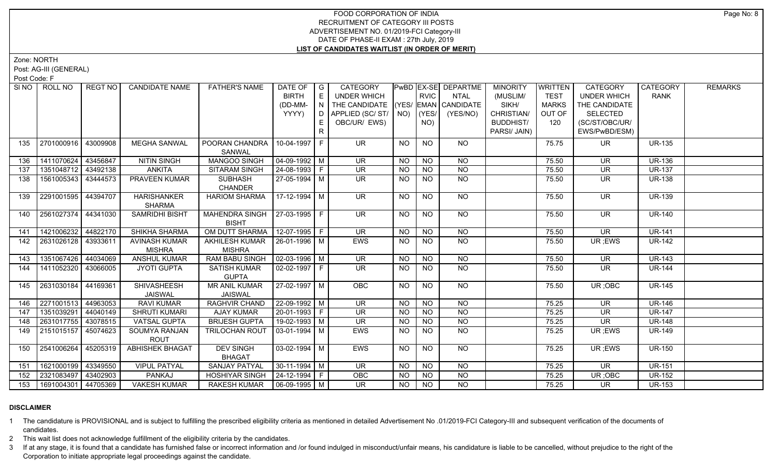Zone: NORTH

Post: AG-III (GENERAL)

Post Code: F

| SI NO | ROLL NO             | REGT NO  | <b>CANDIDATE NAME</b>  | <b>FATHER'S NAME</b>            | DATE OF                        | $\overline{\phantom{a}}$ G | CATEGORY                           |             |                 | PwBD EX-SE DEPARTME | <b>MINORITY</b>  | <b>WRITTEN</b> | CATEGORY                 | <b>CATEGORY</b> | <b>REMARKS</b> |
|-------|---------------------|----------|------------------------|---------------------------------|--------------------------------|----------------------------|------------------------------------|-------------|-----------------|---------------------|------------------|----------------|--------------------------|-----------------|----------------|
|       |                     |          |                        |                                 | <b>BIRTH</b>                   | $\mathsf{E}$               | <b>UNDER WHICH</b>                 |             | <b>RVIC</b>     | <b>NTAL</b>         | (MUSLIM/         | <b>TEST</b>    | <b>UNDER WHICH</b>       | <b>RANK</b>     |                |
|       |                     |          |                        |                                 | (DD-MM-                        | N                          | THE CANDIDATE (YES/ EMAN CANDIDATE |             |                 |                     | SIKH/            | <b>MARKS</b>   | THE CANDIDATE            |                 |                |
|       |                     |          |                        |                                 | YYYY)                          | D                          | APPLIED (SC/ST/                    | $NO)$ (YES/ |                 | (YES/NO)            | CHRISTIAN/       | OUT OF         | <b>SELECTED</b>          |                 |                |
|       |                     |          |                        |                                 |                                | E.                         | OBC/UR/ EWS)                       |             | NO)             |                     | <b>BUDDHIST/</b> | 120            | (SC/ST/OBC/UR/           |                 |                |
|       |                     |          |                        |                                 |                                |                            |                                    |             |                 |                     | PARSI/ JAIN)     |                | EWS/PwBD/ESM)            |                 |                |
| 135   | 2701000916          | 43009908 | <b>MEGHA SANWAL</b>    | POORAN CHANDRA                  | 10-04-1997 F                   |                            | <b>UR</b>                          | <b>NO</b>   | <b>NO</b>       | NO.                 |                  | 75.75          | UR.                      | <b>UR-135</b>   |                |
|       |                     |          |                        | <b>SANWAL</b>                   |                                |                            |                                    |             |                 |                     |                  |                |                          |                 |                |
| 136   | 1411070624          | 43456847 | <b>NITIN SINGH</b>     | MANGOO SINGH                    | $04 - 09 - 1992$ M             |                            | <b>UR</b>                          | <b>NO</b>   | <b>NO</b>       | <b>NO</b>           |                  | 75.50          | <b>UR</b>                | <b>UR-136</b>   |                |
| 137   | 1351048712          | 43492138 | <b>ANKITA</b>          | SITARAM SINGH                   | 24-08-1993 F                   |                            | <b>UR</b>                          | <b>NO</b>   | <b>NO</b>       | <b>NO</b>           |                  | 75.50          | <b>UR</b>                | <b>UR-137</b>   |                |
| 138   | 1561005343          | 43444573 | PRAVEEN KUMAR          | <b>SUBHASH</b>                  | $27-05-1994$ M                 |                            | <b>UR</b>                          | <b>NO</b>   | <b>NO</b>       | <b>NO</b>           |                  | 75.50          | <b>UR</b>                | <b>UR-138</b>   |                |
|       |                     |          |                        | <b>CHANDER</b>                  |                                |                            |                                    |             |                 |                     |                  |                |                          |                 |                |
| 139   | 2291001595          | 44394707 | <b>HARISHANKER</b>     | <b>HARIOM SHARMA</b>            | 17-12-1994 M                   |                            | UR.                                | <b>NO</b>   | <b>NO</b>       | NO                  |                  | 75.50          | <b>UR</b>                | <b>UR-139</b>   |                |
|       |                     |          | <b>SHARMA</b>          |                                 |                                |                            |                                    |             |                 |                     |                  |                |                          |                 |                |
| 140   | 2561027374 44341030 |          | SAMRIDHI BISHT         | <b>MAHENDRA SINGH</b>           | $27-03-1995$ F                 |                            | <b>UR</b>                          | <b>NO</b>   | <b>NO</b>       | NO                  |                  | 75.50          | <b>UR</b>                | <b>UR-140</b>   |                |
|       |                     |          |                        | <b>BISHT</b>                    |                                |                            |                                    |             |                 |                     |                  |                |                          |                 |                |
| 141   | 1421006232          | 44822170 | SHIKHA SHARMA          | OM DUTT SHARMA                  | 12-07-1995 F                   |                            | <b>UR</b>                          | <b>NO</b>   | <b>NO</b>       | <b>NO</b>           |                  | 75.50          | <b>UR</b>                | <b>UR-141</b>   |                |
| 142   | 2631026128 43933611 |          | <b>AVINASH KUMAR</b>   | AKHILESH KUMAR   26-01-1996   M |                                |                            | <b>EWS</b>                         | <b>NO</b>   | N <sub>O</sub>  | N <sub>O</sub>      |                  | 75.50          | UR; EWS                  | <b>UR-142</b>   |                |
|       |                     |          | <b>MISHRA</b>          | <b>MISHRA</b>                   |                                |                            |                                    |             |                 |                     |                  |                |                          |                 |                |
| 143   | 1351067426 44034069 |          | <b>ANSHUL KUMAR</b>    | <b>RAM BABU SINGH</b>           | $\boxed{02-03-1996}$ M         |                            | <b>UR</b>                          | NO          | <b>NO</b>       | $N$ O               |                  | 75.50          | $\overline{\mathsf{UR}}$ | <b>UR-143</b>   |                |
| 144   | 1411052320 43066005 |          | <b>JYOTI GUPTA</b>     | <b>SATISH KUMAR</b>             | $02-02-1997$ F                 |                            | $\overline{\mathsf{UR}}$           | <b>NO</b>   | <b>NO</b>       | $N$ O               |                  | 75.50          | $\overline{\mathsf{UR}}$ | <b>UR-144</b>   |                |
|       |                     |          |                        | <b>GUPTA</b>                    |                                |                            |                                    |             |                 |                     |                  |                |                          |                 |                |
| 145   | 2631030184          | 44169361 | <b>SHIVASHEESH</b>     | <b>MR ANIL KUMAR</b>            | $27-02-1997$ M                 |                            | OBC                                | <b>NO</b>   | <b>NO</b>       | <b>NO</b>           |                  | 75.50          | UR; OBC                  | <b>UR-145</b>   |                |
|       |                     |          | <b>JAISWAL</b>         | <b>JAISWAL</b>                  |                                |                            |                                    |             |                 |                     |                  |                |                          |                 |                |
| 146   | 2271001513          | 44963053 | <b>RAVI KUMAR</b>      | RAGHVIR CHAND                   | 22-09-1992 M                   |                            | $\overline{\mathsf{UR}}$           | <b>NO</b>   | $\overline{NO}$ | $\overline{NQ}$     |                  | 75.25          | <b>UR</b>                | <b>UR-146</b>   |                |
| 147   | 1351039291          | 44040149 | <b>SHRUTI KUMARI</b>   | <b>AJAY KUMAR</b>               | $20-01-1993$ F                 |                            | <b>UR</b>                          | <b>NO</b>   | <b>NO</b>       | $\overline{NO}$     |                  | 75.25          | <b>UR</b>                | <b>UR-147</b>   |                |
| 148   | 2631017755          | 43078515 | <b>VATSAL GUPTA</b>    | <b>BRIJESH GUPTA</b>            | 19-02-1993 M                   |                            | <b>UR</b>                          | <b>NO</b>   | <b>NO</b>       | $\overline{NQ}$     |                  | 75.25          | <b>UR</b>                | <b>UR-148</b>   |                |
| 149   | 2151015157          | 45074623 | SOUMYA RANJAN          | <b>TRILOCHAN ROUT</b>           | $03-01-1994$   M               |                            | EWS                                | NO.         | <b>NO</b>       | <b>NO</b>           |                  | 75.25          | UR; EWS                  | <b>UR-149</b>   |                |
|       |                     |          | <b>ROUT</b>            |                                 |                                |                            |                                    |             |                 |                     |                  |                |                          |                 |                |
| 150   | 2541006264          | 45205319 | <b>ABHISHEK BHAGAT</b> | <b>DEV SINGH</b>                | $03-02-1994$ M                 |                            | EWS                                | NO          | NO.             | NO                  |                  | 75.25          | UR ;EWS                  | <b>UR-150</b>   |                |
|       |                     |          |                        | <b>BHAGAT</b>                   |                                |                            |                                    |             |                 |                     |                  |                |                          |                 |                |
| 151   | 1621000199          | 43349550 | <b>VIPUL PATYAL</b>    | <b>SANJAY PATYAL</b>            | $30-11-1994$ M                 |                            | $\overline{\mathsf{UR}}$           | <b>NO</b>   | <b>NO</b>       | $N$ O               |                  | 75.25          | $\overline{\mathsf{UR}}$ | <b>UR-151</b>   |                |
| 152   | 2321083497          | 43402903 | PANKAJ                 | <b>HOSHIYAR SINGH</b>           | $24 - 12 - 1994$ F             |                            | OBC                                | <b>NO</b>   | <b>NO</b>       | <b>NO</b>           |                  | 75.25          | UR; OBC                  | <b>UR-152</b>   |                |
| 153   | 1691004301 44705369 |          | <b>VAKESH KUMAR</b>    | <b>RAKESH KUMAR</b>             | $\big  06 - 09 - 1995 \big  M$ |                            | $\overline{\mathsf{UR}}$           | <b>NO</b>   | $N$ O           | N <sub>O</sub>      |                  | 75.25          | $\overline{\mathsf{UR}}$ | <b>UR-153</b>   |                |

# **DISCLAIMER**

1 The candidature is PROVISIONAL and is subject to fulfilling the prescribed eligibility criteria as mentioned in detailed Advertisement No .01/2019-FCI Category-III and subsequent verification of the documents of candidates.

2 This wait list does not acknowledge fulfillment of the eligibility criteria by the candidates.

3 If at any stage, it is found that a candidate has furnished false or incorrect information and /or found indulged in misconduct/unfair means, his candidature is liable to be cancelled, without prejudice to the right of t Corporation to initiate appropriate legal proceedings against the candidate.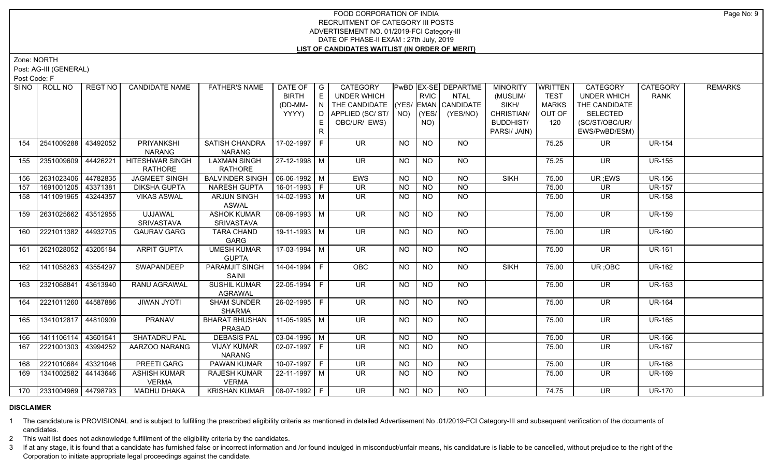Zone: NORTH

Post: AG-III (GENERAL)

Post Code: F

|     | SINO   ROLL NO          | REGT NO  | <b>CANDIDATE NAME</b> | <b>FATHER'S NAME</b>           | DATE OF   G<br><b>BIRTH</b> | E  | <b>CATEGORY</b><br><b>UNDER WHICH</b>     |           | <b>RVIC</b>    | <b>PwBD EX-SE DEPARTME</b><br><b>NTAL</b> | <b>MINORITY</b><br>(MUSLIM/ | <b>WRITTEN</b><br><b>TEST</b> | <b>CATEGORY</b><br><b>UNDER WHICH</b> | CATEGORY<br><b>RANK</b> | <b>REMARKS</b> |
|-----|-------------------------|----------|-----------------------|--------------------------------|-----------------------------|----|-------------------------------------------|-----------|----------------|-------------------------------------------|-----------------------------|-------------------------------|---------------------------------------|-------------------------|----------------|
|     |                         |          |                       |                                | (DD-MM-                     | N. | THE CANDIDATE (YES/ EMAN CANDIDATE        |           |                |                                           | SIKH/                       | <b>MARKS</b>                  | THE CANDIDATE                         |                         |                |
|     |                         |          |                       |                                | YYYY)                       | D  | APPLIED (SC/ST/ $\vert$ NO) $\vert$ (YES/ |           |                | (YES/NO)                                  | CHRISTIAN/                  | OUT OF                        | <b>SELECTED</b>                       |                         |                |
|     |                         |          |                       |                                |                             | E  | OBC/UR/ EWS)                              |           | NO)            |                                           | <b>BUDDHIST/</b>            | 120                           | (SC/ST/OBC/UR/                        |                         |                |
|     |                         |          |                       |                                |                             | R  |                                           |           |                |                                           | PARSI/ JAIN)                |                               | EWS/PwBD/ESM)                         |                         |                |
| 154 | 2541009288              | 43492052 | PRIYANKSHI            | SATISH CHANDRA                 | 17-02-1997 F                |    | <b>UR</b>                                 | <b>NO</b> | <b>NO</b>      | <b>NO</b>                                 |                             | 75.25                         | <b>UR</b>                             | <b>UR-154</b>           |                |
|     |                         |          | <b>NARANG</b>         | <b>NARANG</b>                  |                             |    |                                           |           |                |                                           |                             |                               |                                       |                         |                |
| 155 | 2351009609              | 44426221 | HITESHWAR SINGH       | <b>LAXMAN SINGH</b>            | 27-12-1998   M              |    | <b>UR</b>                                 | <b>NO</b> | <b>NO</b>      | <b>NO</b>                                 |                             | 75.25                         | UR.                                   | <b>UR-155</b>           |                |
|     |                         |          | <b>RATHORE</b>        | <b>RATHORE</b>                 |                             |    |                                           |           |                |                                           |                             |                               |                                       |                         |                |
| 156 | 2631023406              | 44782835 | <b>JAGMEET SINGH</b>  | <b>BALVINDER SINGH</b>         | $06-06-1992$ M              |    | EWS                                       | NO        | $\overline{N}$ | <b>NO</b>                                 | <b>SIKH</b>                 | 75.00                         | UR ;EWS                               | <b>UR-156</b>           |                |
| 157 | 1691001205 43371381     |          | <b>DIKSHA GUPTA</b>   | <b>NARESH GUPTA</b>            | 16-01-1993 F                |    | <b>UR</b>                                 | <b>NO</b> | <b>NO</b>      | $\overline{NQ}$                           |                             | 75.00                         | UR.                                   | <b>UR-157</b>           |                |
| 158 | 1411091965 43244357     |          | <b>VIKAS ASWAL</b>    | ARJUN SINGH                    | 14-02-1993 M                |    | <b>UR</b>                                 | NO.       | <b>NO</b>      | <b>NO</b>                                 |                             | 75.00                         | <b>UR</b>                             | <b>UR-158</b>           |                |
|     |                         |          |                       | <b>ASWAL</b>                   |                             |    |                                           |           |                |                                           |                             |                               |                                       |                         |                |
| 159 | 2631025662   43512955   |          | <b>UJJAWAL</b>        | <b>ASHOK KUMAR</b>             | 08-09-1993 M                |    | $\overline{\mathsf{UR}}$                  | <b>NO</b> | N <sub>O</sub> | $N$ <sup>O</sup>                          |                             | 75.00                         | <b>UR</b>                             | <b>UR-159</b>           |                |
|     |                         |          | SRIVASTAVA            | <b>SRIVASTAVA</b>              |                             |    |                                           |           |                |                                           |                             |                               |                                       |                         |                |
| 160 | 2221011382 44932705     |          | <b>GAURAV GARG</b>    | <b>TARA CHAND</b>              | 19-11-1993 M                |    | $\overline{\mathsf{UR}}$                  | $N$ O     | N <sub>O</sub> | $N$ O                                     |                             | 75.00                         | $\overline{\mathsf{UR}}$              | <b>UR-160</b>           |                |
|     |                         |          |                       | GARG                           |                             |    |                                           |           |                |                                           |                             |                               |                                       |                         |                |
| 161 | 2621028052              | 43205184 | <b>ARPIT GUPTA</b>    | <b>UMESH KUMAR</b>             | 17-03-1994   M              |    | UR.                                       | NO        | <b>NO</b>      | NO.                                       |                             | 75.00                         | <b>UR</b>                             | <b>UR-161</b>           |                |
|     |                         |          |                       | <b>GUPTA</b>                   |                             |    |                                           |           |                |                                           |                             |                               |                                       |                         |                |
| 162 | 1411058263 43554297     |          | SWAPANDEEP            | PARAMJIT SINGH<br>SAINI        | 14-04-1994 F                |    | <b>OBC</b>                                | NO.       | <b>NO</b>      | <b>NO</b>                                 | <b>SIKH</b>                 | 75.00                         | UR; OBC                               | <b>UR-162</b>           |                |
| 163 | 2321068841 43613940     |          | RANU AGRAWAL          | SUSHIL KUMAR                   | 22-05-1994   F              |    | <b>UR</b>                                 | NO.       | <b>NO</b>      | <b>NO</b>                                 |                             | 75.00                         | <b>UR</b>                             | <b>UR-163</b>           |                |
|     |                         |          |                       | <b>AGRAWAL</b>                 |                             |    |                                           |           |                |                                           |                             |                               |                                       |                         |                |
| 164 | 2221011260 44587886     |          | <b>JIWAN JYOTI</b>    | <b>SHAM SUNDER</b>             | 26-02-1995 F                |    | <b>UR</b>                                 | <b>NO</b> | <b>NO</b>      | <b>NO</b>                                 |                             | 75.00                         | <b>UR</b>                             | <b>UR-164</b>           |                |
|     |                         |          |                       | <b>SHARMA</b>                  |                             |    |                                           |           |                |                                           |                             |                               |                                       |                         |                |
| 165 | 1341012817 44810909     |          | <b>PRANAV</b>         | <b>BHARAT BHUSHAN</b>          | 11-05-1995 M                |    | $\overline{\mathsf{UR}}$                  | NO.       | <b>NO</b>      | $N$ O                                     |                             | 75.00                         | <b>UR</b>                             | <b>UR-165</b>           |                |
|     |                         |          |                       | PRASAD                         |                             |    |                                           |           |                |                                           |                             |                               |                                       |                         |                |
| 166 | 1411106114 43601541     |          | <b>SHATADRU PAL</b>   | <b>DEBASIS PAL</b>             | $03-04-1996$ M              |    | <b>UR</b>                                 | $N$ O     | NO             | $N$ O                                     |                             | 75.00                         | $\overline{\mathsf{UR}}$              | <b>UR-166</b>           |                |
| 167 | 2221001303              | 43994252 | AARZOO NARANG         | <b>VIJAY KUMAR</b>             | $02-07-1997$ F              |    | <b>UR</b>                                 | NO.       | N <sub>O</sub> | $N$ O                                     |                             | 75.00                         | <b>UR</b>                             | <b>UR-167</b>           |                |
|     |                         |          |                       | <b>NARANG</b>                  |                             |    |                                           |           |                |                                           |                             |                               |                                       |                         |                |
| 168 | 2221010684              | 43321046 | PREETI GARG           | PAWAN KUMAR                    | 10-07-1997 F                |    | <b>UR</b>                                 | <b>NO</b> | <b>NO</b>      | <b>NO</b>                                 |                             | 75.00                         | <b>UR</b>                             | <b>UR-168</b>           |                |
| 169 | 1341002582 44143646     |          | <b>ASHISH KUMAR</b>   | <b>RAJESH KUMAR</b>            | 22-11-1997 M                |    | <b>UR</b>                                 | <b>NO</b> | <b>NO</b>      | <b>NO</b>                                 |                             | 75.00                         | <b>UR</b>                             | <b>UR-169</b>           |                |
|     |                         |          | <b>VERMA</b>          | <b>VERMA</b>                   |                             |    |                                           |           |                |                                           |                             |                               |                                       |                         |                |
|     | 170 2331004969 44798793 |          | <b>MADHU DHAKA</b>    | KRISHAN KUMAR   08-07-1992   F |                             |    | UR.                                       | NO.       | <b>NO</b>      | <b>NO</b>                                 |                             | 74.75                         | <b>UR</b>                             | <b>UR-170</b>           |                |

#### **DISCLAIMER**

1 The candidature is PROVISIONAL and is subject to fulfilling the prescribed eligibility criteria as mentioned in detailed Advertisement No .01/2019-FCI Category-III and subsequent verification of the documents of candidates.

2 This wait list does not acknowledge fulfillment of the eligibility criteria by the candidates.

3 If at any stage, it is found that a candidate has furnished false or incorrect information and /or found indulged in misconduct/unfair means, his candidature is liable to be cancelled, without prejudice to the right of t Corporation to initiate appropriate legal proceedings against the candidate.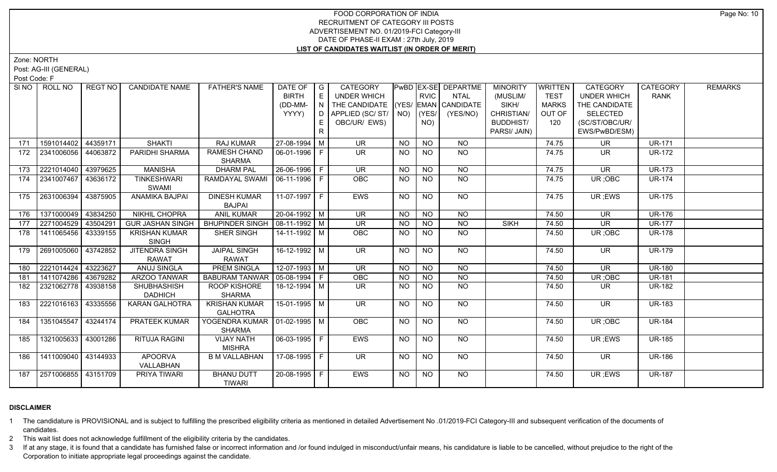Zone: NORTH

Post: AG-III (GENERAL)

Post Code: F

| SI NO I | ROLL NO               | REGT NO  | <b>CANDIDATE NAME</b>                 | <b>FATHER'S NAME</b>                             | DATE OF   G            |   | <b>CATEGORY</b>                    |           |                | <b>PwBD EX-SE DEPARTME</b> | <b>MINORITY</b>  | <b>WRITTEN</b> | <b>CATEGORY</b>    | CATEGORY      | <b>REMARKS</b> |
|---------|-----------------------|----------|---------------------------------------|--------------------------------------------------|------------------------|---|------------------------------------|-----------|----------------|----------------------------|------------------|----------------|--------------------|---------------|----------------|
|         |                       |          |                                       |                                                  | <b>BIRTH</b>           | E | <b>UNDER WHICH</b>                 |           | <b>RVIC</b>    | <b>NTAL</b>                | (MUSLIM/         | <b>TEST</b>    | <b>UNDER WHICH</b> | <b>RANK</b>   |                |
|         |                       |          |                                       |                                                  | (DD-MM-                | N | THE CANDIDATE (YES/ EMAN CANDIDATE |           |                |                            | SIKH/            | <b>MARKS</b>   | THE CANDIDATE      |               |                |
|         |                       |          |                                       |                                                  | YYYY)                  | D | APPLIED (SC/ST/                    |           | $NO)$ (YES/    | (YES/NO)                   | CHRISTIAN/       | OUT OF         | <b>SELECTED</b>    |               |                |
|         |                       |          |                                       |                                                  |                        | E | OBC/UR/ EWS)                       |           | NO)            |                            | <b>BUDDHIST/</b> | 120            | (SC/ST/OBC/UR/     |               |                |
|         |                       |          |                                       |                                                  |                        |   |                                    |           |                |                            | PARSI/ JAIN)     |                | EWS/PwBD/ESM)      |               |                |
| 171     | 1591014402            | 44359171 | <b>SHAKTI</b>                         | <b>RAJ KUMAR</b>                                 | 27-08-1994 M           |   | <b>UR</b>                          | NO        | <b>NO</b>      | <b>NO</b>                  |                  | 74.75          | <b>UR</b>          | <b>UR-171</b> |                |
| 172     | 2341006056 44063872   |          | PARIDHI SHARMA                        | <b>RAMESH CHAND</b><br><b>SHARMA</b>             | 06-01-1996 F           |   | $\overline{\mathsf{UR}}$           | <b>NO</b> | <b>NO</b>      | $N$ O                      |                  | 74.75          | <b>UR</b>          | <b>UR-172</b> |                |
| 173     | 2221014040            | 43979625 | <b>MANISHA</b>                        | <b>DHARM PAL</b>                                 | 26-06-1996   F         |   | <b>UR</b>                          | <b>NO</b> | <b>NO</b>      | <b>NO</b>                  |                  | 74.75          | <b>UR</b>          | <b>UR-173</b> |                |
| 174     | 2341007467            | 43636172 | <b>TINKESHWARI</b><br>SWAMI           | RAMDAYAL SWAMI                                   | 06-11-1996 F           |   | <b>OBC</b>                         | <b>NO</b> | <b>NO</b>      | NO                         |                  | 74.75          | UR; OBC            | <b>UR-174</b> |                |
| 175     | 2631006394            | 43875905 | <b>ANAMIKA BAJPAI</b>                 | <b>DINESH KUMAR</b><br><b>BAJPAI</b>             | 11-07-1997 F           |   | EWS                                | <b>NO</b> | <b>NO</b>      | $N$ <sup>O</sup>           |                  | 74.75          | UR ;EWS            | <b>UR-175</b> |                |
| 176     | 1371000049 43834250   |          | <b>NIKHIL CHOPRA</b>                  | <b>ANIL KUMAR</b>                                | $20-04-1992$ M         |   | <b>UR</b>                          | NO.       | <b>NO</b>      | <b>NO</b>                  |                  | 74.50          | <b>UR</b>          | <b>UR-176</b> |                |
| 177     | 2271004529            | 43504291 | <b>GUR JASHAN SINGH</b>               | <b>BHUPINDER SINGH</b>                           | $08-11-1992$ M         |   | <b>UR</b>                          | <b>NO</b> | N <sub>O</sub> | N <sub>O</sub>             | <b>SIKH</b>      | 74.50          | <b>UR</b>          | <b>UR-177</b> |                |
| 178     | 1411065456   43339155 |          | <b>KRISHAN KUMAR</b><br><b>SINGH</b>  | SHER SINGH                                       | 14-11-1992 M           |   | OBC                                | <b>NO</b> | <b>NO</b>      | <b>NO</b>                  |                  | 74.50          | UR; OBC            | <b>UR-178</b> |                |
| 179     | 2691005060 43742852   |          | <b>JITENDRA SINGH</b><br><b>RAWAT</b> | JAIPAL SINGH<br><b>RAWAT</b>                     | 16-12-1992   M         |   | $\overline{\mathsf{UR}}$           | <b>NO</b> | N <sub>O</sub> | N <sub>O</sub>             |                  | 74.50          | <b>UR</b>          | <b>UR-179</b> |                |
| 180     | 2221014424            | 43223627 | ANUJ SINGLA                           | <b>PREM SINGLA</b>                               | $12-07-1993$ M         |   | <b>UR</b>                          | <b>NO</b> | NO             | <b>NO</b>                  |                  | 74.50          | <b>UR</b>          | <b>UR-180</b> |                |
| 181     | 1411074286            | 43679282 | ARZOO TANWAR                          | <b>BABURAM TANWAR</b>                            | $\boxed{05-08-1994}$ F |   | OBC                                | <b>NO</b> | <b>NO</b>      | N <sub>O</sub>             |                  | 74.50          | UR; OBC            | <b>UR-181</b> |                |
| 182     | 2321062778 43938158   |          | SHUBHASHISH<br><b>DADHICH</b>         | ROOP KISHORE<br><b>SHARMA</b>                    | 18-12-1994 M           |   | <b>UR</b>                          | <b>NO</b> | <b>NO</b>      | <b>NO</b>                  |                  | 74.50          | <b>UR</b>          | <b>UR-182</b> |                |
| 183     | 2221016163 43335556   |          | <b>KARAN GALHOTRA</b>                 | <b>KRISHAN KUMAR</b><br><b>GALHOTRA</b>          | 15-01-1995   M         |   | <b>UR</b>                          | <b>NO</b> | <b>NO</b>      | NO                         |                  | 74.50          | UR                 | <b>UR-183</b> |                |
| 184     | 1351045547            | 43244174 | PRATEEK KUMAR                         | YOGENDRA KUMAR   01-02-1995   M<br><b>SHARMA</b> |                        |   | <b>OBC</b>                         | NO.       | <b>NO</b>      | NO                         |                  | 74.50          | UR; OBC            | <b>UR-184</b> |                |
| 185     | 1321005633 43001286   |          | <b>RITUJA RAGINI</b>                  | <b>VIJAY NATH</b><br><b>MISHRA</b>               | $06-03-1995$ F         |   | <b>EWS</b>                         | <b>NO</b> | N <sub>O</sub> | $N$ <sup>O</sup>           |                  | 74.50          | UR; EWS            | <b>UR-185</b> |                |
| 186     | 1411009040 43144933   |          | <b>APOORVA</b><br>VALLABHAN           | <b>B M VALLABHAN</b>                             | 17-08-1995 F           |   | <b>UR</b>                          | NO        | N <sub>O</sub> | NO                         |                  | 74.50          | UR.                | <b>UR-186</b> |                |
| 187     | 2571006855 43151709   |          | PRIYA TIWARI                          | <b>BHANU DUTT</b><br><b>TIWARI</b>               | 20-08-1995 F           |   | <b>EWS</b>                         | NO        | <b>NO</b>      | NO                         |                  | 74.50          | UR ;EWS            | <b>UR-187</b> |                |

# **DISCLAIMER**

1 The candidature is PROVISIONAL and is subject to fulfilling the prescribed eligibility criteria as mentioned in detailed Advertisement No .01/2019-FCI Category-III and subsequent verification of the documents of candidates.

2 This wait list does not acknowledge fulfillment of the eligibility criteria by the candidates.

3 If at any stage, it is found that a candidate has furnished false or incorrect information and /or found indulged in misconduct/unfair means, his candidature is liable to be cancelled, without prejudice to the right of t Corporation to initiate appropriate legal proceedings against the candidate.